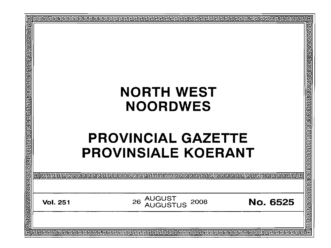|                                                                                                            |                 | 10                                                                                         |  |
|------------------------------------------------------------------------------------------------------------|-----------------|--------------------------------------------------------------------------------------------|--|
| <u>विविद्यविद्यान कृष्ण संस्कृष्ण में स्नार्ग को संस्कृष्ण कृष्ण कृष्ण कृष्ण कृष्ण कृष्ण कृष्ण कृष्ण क</u> |                 |                                                                                            |  |
|                                                                                                            |                 | <b>NORTH WEST</b><br><b>NOORDWES</b>                                                       |  |
|                                                                                                            |                 | <b>PROVINCIAL GAZETTE</b><br><b>PROVINSIALE KOERANT</b>                                    |  |
|                                                                                                            |                 |                                                                                            |  |
|                                                                                                            | <b>Vol. 251</b> | <u> बागवाचाचाचाचाचाचाचाच</u><br><b>AUGUST</b><br>26<br>No. 6525<br>2008<br><b>AUGUSTUS</b> |  |
|                                                                                                            |                 |                                                                                            |  |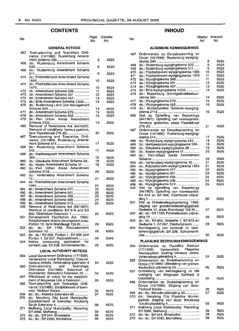## **CONTENTS**

| <b>GENERAL NOTICES</b> |                                                                                                                    |          |              |  |  |
|------------------------|--------------------------------------------------------------------------------------------------------------------|----------|--------------|--|--|
| 467                    | Town-planning and Townships Ordi-<br>nance (15/1986): Rustenburg Amend-                                            |          |              |  |  |
| 468                    | do.: Rustenburg Amendment Scheme                                                                                   | 8<br>8   | 6525<br>6525 |  |  |
| 469                    | do.: Rustenburg Amendment Scheme                                                                                   | 9        | 6525         |  |  |
| 470                    | do.: Potchefstroom Amendment Scheme                                                                                | 10       | 6525         |  |  |
| 471                    | do.: Potchefstroom Amendment Scheme                                                                                | 10       | 6525         |  |  |
| 472                    | do.: Amendment Scheme 509                                                                                          | 11       | 6525         |  |  |
| 473                    | do.: Amendment Scheme 501                                                                                          | 12       | 6525         |  |  |
| 474                    | do.: Amendment Scheme 457                                                                                          | 13       | 6525         |  |  |
| 475                    | do.: Brits Amendment Scheme 1/535                                                                                  | 13       | 6525         |  |  |
| 476                    | do.: Rustenburg Land Use Management                                                                                |          |              |  |  |
|                        |                                                                                                                    | 14       | 6525         |  |  |
| 477                    | do.: Amendment Scheme 270                                                                                          | 15       | 6525         |  |  |
| 478                    | do.: Amendment Scheme 452                                                                                          | 15       | 6525         |  |  |
| 479                    | do.: Peri Urban Areas Amendment                                                                                    | 16       | 6525         |  |  |
| 480                    | Removal of Restrictions Act (84/1967):<br>Removal of conditions: Various portions,<br>farm Paardekraal 279 JQ      |          |              |  |  |
| 487                    | Town-planning and Townships Ordi-<br>nance (15/1986): Rustenburg Amend-                                            | 32       | 6525         |  |  |
| 488                    | do.: Rustenburg Amendment Scheme                                                                                   | 17       | 6525         |  |  |
| 489                    | do.: Hartbeespoort Amendment Scheme                                                                                | 17       | 6525         |  |  |
| 490                    |                                                                                                                    | 18       | 6525         |  |  |
| 491                    | do.: Ditsobotla Amendment Scheme 29                                                                                | 19       | 6525         |  |  |
|                        | do.: Koster Amendment Scheme 51                                                                                    | 19       | 6525         |  |  |
| 492<br>493             | do.: Peri Urban Areas Amendment<br>do.: Ventersdorp Amendment Scheme                                               | 20       | 6525         |  |  |
| 494                    | do.: Potchefstroom Amendment Scheme                                                                                | 21       | 6525         |  |  |
|                        |                                                                                                                    | 21       | 6525         |  |  |
| 495                    | do.: Amendment Scheme 477                                                                                          | 22       | 6525         |  |  |
| 496                    | do.: Amendment Scheme 501                                                                                          | 23       | 6525         |  |  |
| 497                    | do.: Amendment Scheme 458                                                                                          | 23       | 6525         |  |  |
| 498                    | do.: Amendment Scheme 509                                                                                          | 24       | 6525         |  |  |
| 499                    | do.: Amendment Scheme 513                                                                                          | 25       | 6525         |  |  |
| 500                    | Removal of Restrictions Act (84/1967):                                                                             |          |              |  |  |
|                        | Removal of conditions: Erf 618 and Erf                                                                             |          |              |  |  |
|                        | 958, Oberholzer Extension 1                                                                                        | 25       | 6525         |  |  |
| 501                    | Development Facilitation Act, 1995:<br>Establishment of land development area:                                     |          |              |  |  |
|                        | Portion 12, farm Brandwagt 728 IN                                                                                  | 26       | 6525         |  |  |
| 502                    | do.: do.: Erf 1788, Potchefstroom                                                                                  |          |              |  |  |
|                        |                                                                                                                    | 28       | 6525         |  |  |
| 503                    | do.: do.: Erf 856, Portion 1, Erf 856 and<br>Portion 1, Erf 857, Potchefstroom                                     | 28       | 6525         |  |  |
| 504                    | Notice concerning application for<br>consent use: Erf 238, Schoemansville                                          | 29       | 6525         |  |  |
|                        | <b>LOCAL AUTHORITY NOTICES</b>                                                                                     |          |              |  |  |
| 355                    | Local Government Ordinance (17/1939):<br>Ventersdorp Local Municipality: Closure:                                  |          |              |  |  |
| 356                    | Various streets, Ventersdorp Extension 4<br>Town-planning<br>and<br>Townships<br>Ordinance (15/1986): Extension of | 34       | 6525         |  |  |
| 357                    | boundaries: Klerksdorp Extension 33<br>Withdrawal of notice for the establish-                                     | 34       | 6525         |  |  |
| 368                    | ment of Mogwase Unit 8 Extension<br>Town-planning and Townships Ordi-                                              | 35       | 6525         |  |  |
|                        | nance (15/1986): Establishment of town-<br>ship: Tierkloof Estate                                                  | 35       | 6525         |  |  |
| 369                    | do.: do.: Melodie Extension 60                                                                                     | 37       | 6525         |  |  |
| 370                    | do.: Merafong City Local Municipality:<br>Establishment of township: Khutsong                                      |          |              |  |  |
| 371                    | Mafikeng Local Municipality: Rezoning:                                                                             | 38       | 6525         |  |  |
| 372                    |                                                                                                                    | 39       | 6525         |  |  |
| 373                    | do.: do.: Erf 544, Mmabatho<br>do.: do.: Erf 2280, Montshioa                                                       | 39<br>39 | 6525<br>6525 |  |  |
|                        |                                                                                                                    |          |              |  |  |

## **INHOLID**

No. Page Gazette No. No. No. Bladsy Koerant Bladsy Koerant<br>No. No.

### **ALGEMENE KENNISGEWINGS**

| 467 | Ordonnansie op Dorpsbeplanning en<br>Dorpe (15/1986): Rustenburg-wysiging- |    |      |
|-----|----------------------------------------------------------------------------|----|------|
|     |                                                                            | 8  | 6525 |
| 468 | do.: Rustenburg-wysigingskema 502                                          | 9  | 6525 |
| 469 | do.: Rustenburg-wysigingskema 511                                          | 9  | 6525 |
| 470 | do.: Potchefstroom-wysigingskema 1569                                      | 10 | 6525 |
| 471 | do.: Potchefstroom-wysigingskema 1570                                      | 11 | 6525 |
| 472 | do.: Wysigingskema 509                                                     | 11 | 6525 |
| 473 | do.: Wysigingskema 501                                                     | 12 | 6525 |
| 474 | do.: Wysigingskema 457                                                     | 13 | 6525 |
| 475 | do.: Brits-wysigingskema 1/535                                             | 14 | 6525 |
| 476 | do.: Rustenburg Grondgebruikbestuur-                                       |    |      |
|     |                                                                            | 14 |      |
|     |                                                                            |    | 6525 |
| 477 | do.: Wysigingskema 270                                                     | 15 | 6525 |
| 478 | do.: Wysigingskema 452                                                     | 16 | 6525 |
| 479 | do.: Buitestedelike Gebiede-wysiging-                                      |    |      |
|     |                                                                            | 16 | 6525 |
| 480 | Wet op Opheffing van Beperkings                                            |    |      |
|     | (84/1967): Opheffing van voorwaardes:                                      |    |      |
|     | Verskeie gedeeltes, plaas Paardekraal                                      |    |      |
|     |                                                                            | 31 | 6525 |
| 487 | Ordonnansie op Dorpsbeplanning en                                          |    |      |
|     | Dorpe (15/1986): Rustenburg-wysiging-                                      |    |      |
|     |                                                                            | 17 | 6525 |
| 488 | do.: Rustenburg-wysigingskema 515                                          | 18 | 6525 |
| 489 | do.: Hartbeespoort-wysigingskema 364                                       | 18 | 6525 |
| 490 | do.: Ditsobotla-wysigingskema 29                                           | 19 | 6525 |
| 491 | do.: Koster-wysigingskema 51                                               | 20 | 6525 |
| 492 | do.: Peri-Urban Areas Amendment                                            |    |      |
|     |                                                                            | 20 | 6525 |
| 493 | do.: Ventersdorp-wysigingskema 10                                          | 21 | 6525 |
|     |                                                                            |    |      |
| 494 | do.: Potchefstroom-wysigingskema 1564                                      | 21 | 6525 |
| 495 | do.: Wysigingskema 477                                                     | 22 | 6525 |
| 496 |                                                                            | 23 | 6525 |
| 497 |                                                                            | 24 | 6525 |
| 498 | do.: Wysigingskema 509                                                     | 24 | 6525 |
| 499 | do.: Wysigingskema 513                                                     | 25 | 6525 |
| 500 | Wet op Opheffing van Beperkings                                            |    |      |
|     | (84/1967): Opheffing van voorwaardes:                                      |    |      |
|     | Erf 618 en Erf 958, Oberholzer-uitbrei-                                    |    |      |
|     |                                                                            | 26 | 6525 |
| 501 | Wet op Ontwikkelingsfasilitering, 1995:                                    |    |      |
|     | Stigting van grondontwikkelingsgebied:                                     |    |      |
|     | Gedeelte 12, plaas Brandwagt 728 IN                                        | 27 | 6525 |
| 502 | do.: do.: Erf 1788, Potchefstroom-uitbrei-                                 |    |      |
|     |                                                                            | 28 | 6525 |
| 503 | do.: do.: Erf 856, Gedeelte 1, Erf 876 en                                  |    |      |
|     | Gedeelte 1, Erf 857, Potchefstroom                                         | 29 | 6525 |
| 504 |                                                                            |    |      |
|     | Kennisgewing van aansoek vir toes-                                         |    |      |
|     | temmingsgebruik: Erf 238, Schoemans-                                       |    |      |
|     |                                                                            | 30 | 6525 |
|     | PLAASLIKE BESTUURSKENNISGEWINGS                                            |    |      |
|     |                                                                            |    |      |
| 355 | Ordonnansie op Plaaslike Bestuur                                           |    |      |
|     | (17/1939): Ventersdorp Plaaslike                                           |    |      |
|     | Munisipaliteit: Sluiting: Verskeie strate,                                 |    |      |
|     | Ventersdorp-uitbreiding 4                                                  | 34 | 6525 |
| 356 | Ordonnansie op Dorpsbeplanning en                                          |    |      |
|     | Dorpe (15/1986): Uitbreiding van grense:                                   |    |      |
|     | Klerksdorp-uitbreiding 33                                                  | 35 | 6525 |
| 357 | Onttrekking van kennisgewing vir die                                       |    |      |
|     | vestiging van Mogwase Eenheid 8                                            |    |      |
|     |                                                                            | 35 | 6525 |
| 368 | Ordonnansie op Dorpsbeplanning en                                          |    |      |
|     | Dorpe (15/1986): Stigting van dorp:                                        |    |      |
|     |                                                                            | 36 | 6525 |
| 369 | do.: do.: Melodie-uitbreiding 60                                           | 37 | 6525 |
| 370 | do.: Merafong City Plaaslike Munisi-                                       |    |      |
|     | paliteit: Stigting van dorp: Khutsong                                      |    |      |
|     | South-uitbreiding 4                                                        | 38 | 6525 |
| 371 |                                                                            |    |      |
|     | Mafikeng Local Municipality: Rezoning:                                     | 39 | 6525 |
|     |                                                                            |    |      |
| 372 | do.: do.: Erf 544, Mmabatho<br>do.: do.: Erf 2280, Montshioa               | 39 | 6525 |
| 373 |                                                                            | 39 | 6525 |

373 do.: do.: Erf 2280, Montshioa.................. 39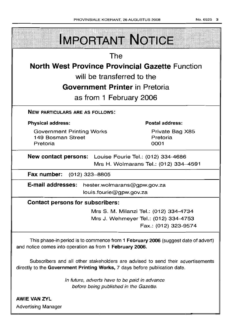| <b>IMPORTANT NOTICE</b>                                                                                                                                       |  |  |  |  |  |
|---------------------------------------------------------------------------------------------------------------------------------------------------------------|--|--|--|--|--|
| The                                                                                                                                                           |  |  |  |  |  |
| <b>North West Province Provincial Gazette Function</b>                                                                                                        |  |  |  |  |  |
| will be transferred to the                                                                                                                                    |  |  |  |  |  |
| <b>Government Printer</b> in Pretoria                                                                                                                         |  |  |  |  |  |
| as from 1 February 2006                                                                                                                                       |  |  |  |  |  |
|                                                                                                                                                               |  |  |  |  |  |
| <b>NEW PARTICULARS ARE AS FOLLOWS:</b>                                                                                                                        |  |  |  |  |  |
| <b>Postal address:</b><br><b>Physical address:</b>                                                                                                            |  |  |  |  |  |
| <b>Government Printing Works</b><br>Private Bag X85                                                                                                           |  |  |  |  |  |
| 149 Bosman Street<br>Pretoria<br>0001<br>Pretoria                                                                                                             |  |  |  |  |  |
|                                                                                                                                                               |  |  |  |  |  |
| <b>New contact persons:</b> Louise Fourie Tel.: (012) 334-4686                                                                                                |  |  |  |  |  |
| Mrs H. Wolmarans Tel.: (012) 334-4591                                                                                                                         |  |  |  |  |  |
| Fax number: (012) 323-8805                                                                                                                                    |  |  |  |  |  |
| E-mail addresses:<br>hester.wolmarans@gpw.gov.za                                                                                                              |  |  |  |  |  |
| louis.fourie@gpw.gov.za                                                                                                                                       |  |  |  |  |  |
| <b>Contact persons for subscribers:</b>                                                                                                                       |  |  |  |  |  |
| Mrs S. M. Milanzi Tel.: (012) 334-4734                                                                                                                        |  |  |  |  |  |
| Mrs J. Wehmeyer Tel.: (012) 334-4753                                                                                                                          |  |  |  |  |  |
| Fax.: (012) 323-9574                                                                                                                                          |  |  |  |  |  |
| This phase-in period is to commence from 1 February 2006 (suggest date of advert)<br>and notice comes into operation as from 1 February 2006.                 |  |  |  |  |  |
| Subscribers and all other stakeholders are advised to send their advertisements<br>directly to the Government Printing Works, 7 days before publication date. |  |  |  |  |  |
| In future, adverts have to be paid in advance<br>before being published in the Gazette.                                                                       |  |  |  |  |  |
| <b>AWIE VAN ZYL</b>                                                                                                                                           |  |  |  |  |  |

Advertising Manager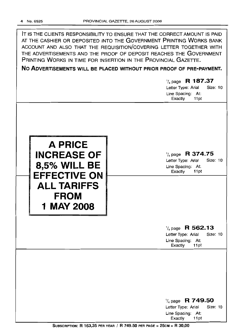IT IS THE CLIENTS RESPONSIBILITY TO ENSURE THAT THE CORRECT AMOUNT IS PAID AT THE CASHIER OR DEPOSITED INTO THE GOVERNMENT PRINTING WORKS BANK ACCOUNT AND ALSO THAT THE REQUISITION/COVERING LETTER TOGETHER WITH THE ADVERTISEMENTS AND THE PROOF OF DEPOSIT REACHES THE GOVERNMENT PRINTING WORKS IN TIME FOR INSERTION IN THE PROVINCIAL GAZETTE.

**No ADVERTISEMENTS WILL BE PLACED WITHOUT PRIOR PROOF OF PRE-PAYMENT.**

'/4 page **R 187.37** Letter Type: Arial Size: 10 Line Spacing: At: Exactly 11pt



'/4 page **R 374.75** Letter Type: Arial Size: 10 Line Spacing: At: Exactly 11 pt

'/4 page **R 562.13** Letter Type: Arial Size: 10 Line Spacing: At:

Exactly 11pt

'/4 page **R 749.50** Letter Type: Arial Size: 10 Line Spacing: At: Exactly 11pt

SUBSCRIPTION: R 163,35 PER YEAR / R 749.50 PER PAGE = 25cM = R 30,00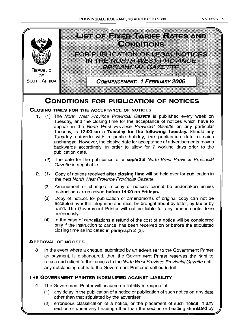

- Tuesday, and the closing time for the acceptance of notices which have to appear in the North West Province Provincial Gazette on any particular Tuesday, is 12:00 on a Tuesday for the following Tuesday. Should any Tuesday coincide with a public holiday, the publication date remains unchanged. However, the closing date for acceptance of advertisements moves backwards accordingly, in order to allow for 7 working days prior to the publication date.
	- (2) The date for the publication of a separate North West Province Provincial Gazette is negotiable.
- 2. (1) Copy of notices received after closing time will be held over for publication in the next North West Province Provincial Gazette.
	- (2) Amendment or changes in copy of notices cannot be undertaken unless instructions are received before 14:00 on Fridays.
	- (3) Copy of notices for publication or amendments of original copy can not be accepted over the telephone and must be brought about by letter, by fax or by hand. The Government Printer will not be liable for any amendments done erroneously.
	- (4) In the case of cancellations a refund of the cost of a notice will be considered only if the instruction to cancel has been received on or before the stipulated closing time as indicated in paragraph 2 (2)

## ApPROVAL OF NOTICES

3 In the event where a cheque., submitted by an advertiser to the Government Printer as payment, is dishonoured, then the Government Printer reserves the right to refuse such client further access to the North West Province Provincial Gazette untill any outstanding debts to the Government Printer is settled in full

## THE GOVERNMENT PRINTER INDEMNIFIED AGAINST LIABILITY

- 4. The Government Printer will assume no liability in respect of-
	- (1) any delay in the publication of a notice or publication of such notice on any date other than that stipulated by the advertiser;
	- (2) erroneous classification of a notice, or the placement of such notice in any section or under any heading other than the section or heading stipulated by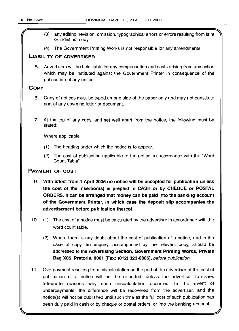- r (3) any editing, revision, omission, typographical errors or errors resulting from faint or indistinct copy.
- (4) The Government Printing Works is not responsible for any amendments.

## LIABILITY OF ADVERTISER

5. Advertisers will be held liable for any compensation and costs arising from any action which may be instituted against the Government Printer in consequence of the publication of any notice.

## **COPY**

- 6. Copy of notices must be typed on one side of the paper only and may not constitute part of any covering letter or document.
- 7. At the top of any copy, and set well apart from the notice, the following must be stated:

Where applicable

- (1) The heading under which the notice is to appear.
- (2) The cost of publication applicable to the notice, in accordance with the "Word Count Table".

## PAYMENT OF COST

- 9. With effect from 1 April 2005 no notice will be accepted for publication unless the cost of the insertion(s) is prepaid in CASH or by CHEQUE or POSTAL ORDERS. It can be arranged that money can be paid into the banking account of the Government Printer, in which case the deposit slip accompanies the advertisement before publication thereof.
- 10. (1) The cost of a notice must be calculated by the advertiser in accordance with the word count table.
	- (2) Where there is any doubt about the cost of publication of a notice, and in the case of copy, an enquiry, accompanied by the relevant copy, should be addressed to the Advertising Section, Government Printing Works, Private Bag X85, Pretoria, 0001 [Fax: (012) 323-8805], before publication.
- 11. Overpayment resulting from miscalculation on the part of the advertiser of the cost of publication of a notice will not be refunded, unless the advertiser furnishes adequate reasons why such miscalculation occurred. In the event of underpayments, the difference will be recovered from the advertiser, and the notice(s) will not be published until such time as the full cost of such publication has been duly paid in cash or by cheque or postal orders, or into the banking account.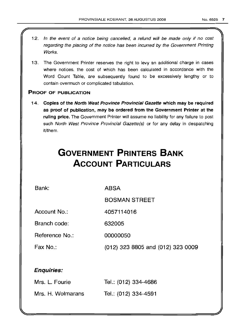- 12. In the event of a notice being cancelled, a refund will be made only if no cost regarding the placing of the notice has been incurred by the Government Printing Works.
- 13. The Government Printer reserves the right to levy an additional charge in cases where notices, the cost of which has been calculated in accordance with the Word Count Table, are subsequently found to be excessively lengthy or to contain overmuch or complicated tabulation.

## PROOF OF PUBLICATION

14. Copies of the North West Province Provincial Gazette which may be required as proof of publication, may be ordered from the Government Printer at the ruling price. The Government Printer will assume no liability for any failure to post such North West Province Provincial Gazette(s) or for any delay in despatching it/them.

# **GOVERNMENT PRINTERS BANK ACCOUNT PARTICULARS**

Bank:

ABSA

BOSMAN STREET

Account No.: 4057114016

Branch code: 632005

Reference No.: 00000050

Fax No.:

(012) 323 8805 and (012) 323 0009

## Enquiries:

| Mrs. L. Fourie    | Tel.: (012) 334-4686 |
|-------------------|----------------------|
| Mrs. H. Wolmarans | Tel.: (012) 334-4591 |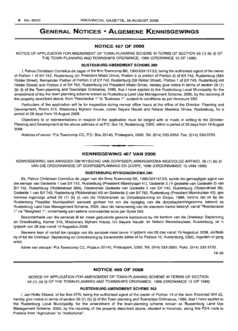## **GENERAL NOTICES • ALGEMENE KENNISGEWINGS**

## **NOTICE 467 OF 2008**

NOTICE OF APPLICATION FOR AMENDMENT OF TOWN-PLANNING SCHEME IN TERMS OF SECTION 56 (1) (b) (i) OF THE TOWN-PLANNING AND TOWNSHIPS ORDINANCE, 1986 (ORDINANCE 15 OF 1986)

#### **RUSTENBURG AMENDMENT SCHEME 280**

I, Petrus Christiaan Cornelius de Jager of the firm Towncomp BK, 1995/024157/23, being the authorised agent of the owner of Portion 1 of Erf 742, Rustenburg (41 President Mbeki Drive), Portion 3 (a portion of Portion 2) of Erf 742, Rustenburg (38A Ridder Street), Remainder Portion of Portion 2 of Erf 742, Rustenburg (38 Ridder Street), Portion 1 of Erf 743, Rustenburg (40 Ridder Street) and Portion 2 of Erf 762, Rustenburg (43 President Mbeki Drive), hereby give notice in terms of section 56 (1) (b) (i) of the Town-planning and Townships Ordinance, 1986, that I have applied to the Rustenburg Local Muncipality for the amendment of the the town-planning scheme known as Rustenburg Land Use Management Scheme, 2005, by the rezoning of the property described above, from "Residential 1" to "Business 1", subject to conditions as per Annexure 563.

Particulars of the application will lie for inspection during normal office hours at the office of the Director: Planning and Development, Room 319, Missionary Mpheni House, corner Beyers Naudé and Nelson Mandela Drives, Rustenburg, for a period of 28 days from 19 August 2008.

Objections to or representations in respect of the application must be lodged with or made in writing to the Director: Planning and Development at the above address or at P.O. Box 16, Rustenburg, 0300, within a period of 28 days from 19 August 2008.

Address of owner: Pia Towncomp CC, P.O. Box 20145, Proteapark, 0305. Tel: (014) 533-2950. Fax: (014) 533-3733.

**.-**

## **KENNISGEWING 467 VAN 2008**

KENNISGEWING VAN MNSOEK OM WYSIGING VAN DORPSBEPLANNINGSKEMA INGEVOLGE ARTIKEL 56 (1) (b) (i) VAN DIE ORDONNANSIE OP DORPSBEPLANNING EN DORPE, 1986 (ORDONNANSIE 15 VAN 1986)

## **RUSTENBURG·WYSIGINGSKEMA 280**

Ek, Petrus Christiaan Cornelius de Jager van die firma Towncomp BK, 1995/024157/23, synde die gemagtigde agent van die eienaar van Gedeelte 1 van Erf 742, Rustenburg (President Mbekirylaan 41), Gedeelte 3 ('n gedeelte van Gedeelte 2) van Erf 742, Rustenburg (Ridderstraat 38A), Resterende Gedeelte van Gedeelte 2 van Erf 742, Rustenburg (Ridderstraat 38), Gedeelte 1 van Erf 743, Rustenburg (Ridderstraat 40) en Gedeelte 2 van Erf 762, Rustenburg (President Mbekirylaan 43), gee hiermee ingevolge artkel 56 (1) (b) (i) van die Ordonnansie op Dorpsbeplanning en Dorpe, 1986, kennis dat ek by die Rustenburg Plaaslike Munisipaliteit aansoek gedoen het om die wysiging van die dorpsbeplanningskema, bekend as Rustenburg Land Use Management Scheme, 2005, deur die hersonering van die eiendom hierbo beskryf, vanaf "Residensieel 1" na "Besigheid 1", onderhewig aan sekere voorwaardes soos per Bylae 563.

Besonderhede van die aansoek Ie ter insae gedurende gewone kantoorure by die kantoor van die Direkteur: Beplanning en Ontwikkeling, Kamer 319, Missionary Mpheni House, h/V Beyers Naude- en Nelson Mandelarylaan, Rustenburg, vir 'n tydperk van 28 dae vanaf 19 Augustus 2008.

Besware teen of vertoë ten opsigte van die aansoek moet binne 'n tydperk van 28 dae vanaf 19 Augustus 2008, skriftelik by of tot die Direkteur: Beplanning en Ontwikkeling by bovermelde adres of by Posbus 16, Rustenburg, 0300, ingedien of gerig word.

Adres van eienaar: Pia Towncomp CC, Posbus 20145, Proteapark, 0305. Tel: (014) 533-2950. Faks: (014) 533-3733.

19-26

## **NOTICE 468 OF 2008**

NOTICE OF APPLICATION FOR AMENDMENT OF TOWN-PLANNING SCHEME IN TERMS OF SECTION 56 (1) (b) (i) OF THE TOWN-PLANNING AND TOWNSHIPS ORDINANCE, 1986 (ORDINANCE 15 OF 1986)

#### **RUSTENBURG AMENDMENT SCHEME 502**

I, Jan-Nolte Ekkerd, of the firm EPS, being the authorised agent of the owner of Portion 14 of the farm Kroondal 304 JQ, hereby give notice in terms of section 56 (1) (b) (i) of the Town-planning and Townships Ordinance, 1986, that I have applied to the Rustenburg Local Municipality, for the amendment of the town-planning scheme known as Rustenburg Land Use Management Scheme, 2005, by the rezoning of the property described above, situated in Kroondal, along the P2/4 route to Pretoria from "Agriculture" to "Institutional".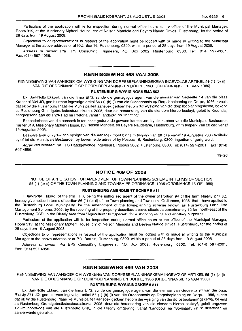Particulars of the application will lie for inspection during normal office hours at the office of the Municipal Manager, Room 319, at the Missionary Mpheni House, cnr of Nelson Mandela and Beyers Naude Drives, Rustenlburg, for the period of 28 days from 19 August 2008.

Objections to or representations in respect of the application must be lodged with or made in writing to the Municipal Manager at the above address or at P.O. Box 16, Rustenburg, 0300, within a period of 28 days from 19 August 2008.

Address of owner: Pia EPS Consulting Engineers, P.O. Box 5002, Rustenburg, 0300. Tel: (014) 597-2001. Fax: (014) 597-4956.

## **KENNISGEWING 468 VAN 2008**

KENNISGEWING VAN AANSOEK OM WYSIGING VAN DORPSBEPLANNINGSKEMA INGEVOLGE ARTIKEL 56 (1) (b) (i) VAN DIE ORDONNANSIE OP DORPSBEPLANNING EN DORPE, 1986 (ORDONNANSIE 15 VAN 1986)

#### **RUSTENBURG-WYSIGINGSKEMA 502**

Ek, Jan-Nolte Ekkerd, van die firma EPS, synde die gemagtigde agent van die eienaar van Gedeelte 14 van die plaas Kroondal 304 JQ, gee hiermee ingevolge artkel 56 (1) (b) (i) van die Ordonnansie op Dorpsbeplanning en Dorpe, 1986, kennis dat ek by die Rustenburg Plaaslike Munisipaliteit aansoek gedoen het om die wysiging van die dorpsbeplanningskema, bekend as Hustenburq Grondgebruiksbestuursskema, 2005, deur die hersonering van die eiendom hierbo beskryf, gelee te Kroondal, aangrensend aan die P2/4 Pad na Pretoria vanaf "Landbou" na "Inrigting".

Besonderhede van die aansoek lê ter insae gedurende gewone kantoorure, by die kantoor van die Munisipale Bestuurder, Karner 319, Missionary Mpheni House, h/v Nelson Mandela en Beyers Naudelane, Rustenburg, vir 'n tydperk van 28 dae vanaf 19 Augustus 2008.

Besware teen of vertoë ten opsigte van die aansoek moet binne 'n tydperk van 28 dae vanaf 19 Augustus 2008 skriftelik by of tot die Munisipale Bestuurder, by bovermelde adres of by Posbus 16, Rustenburg, 0300, ingedien of gerig word.

Adres van eienaar: P/a EPS Raadgewende Ingenieurs, Posbus 5002, Rustenburg, 0300. Tel: (014) 597-2001. Faks: (014) 597-4956.

19-26

## **NOTICE 469 OF 2008**

NOTICE OF APPLICATION FOR AMENDMENT OF TOWN-PLANNING SCHEME IN TERMS OF SECTION 56 (1) (b) (i) OF THE TOWN-PLANNING AND TOWNSHIPS ORDINANCE, 1986 (ORDINANCE 15 OF 1986)

#### **RUSTENBURG AMENDMENT SCHEME 511**

I, Jan-Nolte Ekkerd, of the firm EPS, being the authorised agent of the owner of Portion 94 of the farm Rietvly 271 JQ, hereby give notice in terms of section 56 (1) (b) (i) of the Town-planning and Townships Ordinance, 1986, that I have applied to the Rustenburg Local Municipality, for the amendment of the town-planning scheme known as Hustenburq Land Use Management Scheme, 2005, by the rezoning of the property described above, situated approximately 12 km north-east of the Rustenburg CBD, in the Rietvly Area from "Agriculture" to "Special", for a shooting range and ancillary purposes.

Particulars of the application will lie for inspection during normal office hours at the office of the Municipal Manager, Room 319, at the Missionary Mpheni House, cnr of Nelson Mandela and Beyers Naude Drives, Rustenburg, for the period of 28 days from 19 August 2008.

Objections to or representations in respect of the application must be lodged with or made in writing to the Municipal Manager at the above address or at P.O. Box 16, Rustenburg, 0300, within a period of 28 days from 19 August 2008.

Address of owner: Pia EPS Consulting Engineers, P.O. Box 5002, Rustenburg, 0300. Tel: (014) 597-2001. Fax: (014) 597-4956.

## **KENNISGEWING 469 VAN 2008**

**I •**

KENNISGEWING VAN AANSOEK OM WYSIGING VAN DORPSBEPLANNINGSKEMA INGEVOLGE ARTIKEL 56 (1) (b) (i) VAN DIE ORDONNANSIE OP DORPSBEPLANNING EN DORPE, 1986 (ORDONNANSIE 15 VAN 1986)

#### **RUSTENBURG-WYSIGINGSKEMA 511**

Ek, Jan-Nolte Ekkerd, van die firma EPS, synde die gemagtigde agent van die eienaar van Gedeelte 94 van die plaas Rietvly 271 JQ, gee hiermee ingevolge artkel 56 (1) (b) (i) van die Ordonnansie op Dorpsbeplanning en Dorpe, 1986, kennis dat ek by die Rustenburg Plaaslike Munisipaliteit aansoek gedoen het om die wysiging van die dorpsbeplanningskema, bekend as Rustenburg Grondgebruiksbestuursskema, 2005, deur die hersonering van die eiendom hierbo beskryf, gelee ongeveer 12 krn noord-oos van die Rustenburg SSK, in die Rietvly omgewing, vanaf "Landbou" na "Spesiaal", vir 'n skietbaan en aanverwante gebruike.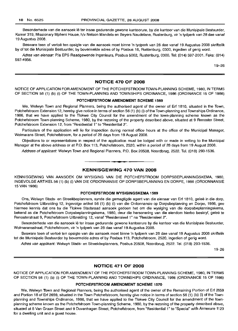Besonderhede van die aansoek lê ter insae gedurende gewone kantoorure, by die kantoor van die Munisipale Bestuurder, Kamer 319, Missionary Mpheni House, h/v Nelson Mandela en Beyers Naudelane, Rustenburg, vir 'n tydperk van 28 dae vanaf 19 Augustus 2008.

Besware teen of vertoë ten opsigte van die aansoek moet binne 'n tydperk van 28 dae vanaf 19 Augustus 2008 skriftelik by of tot die Munisipale Bestuurder, by bovermelde adres of by Posbus 16, Rustenburg, 0300, ingedien of gerig word.

Adres van eienaar: P/a EPS Raadgewende Ingenieurs, Posbus 5002, Rustenburg, 0300. Tel: (014) 597-2001. Faks: (014) 597-4956.

19-26

### **NOTICE 470 OF 2008**

NOTICE OF APPLICATION FOR AMENDMENT OF THE POTCHEFSTROOM TOWN-PLANNING SCHEME, 1980, IN TERMS OF SECTION 56 (1) (b) (i) OF THE TOWN-PLANNING AND TOWNSHIPS ORDINANCE, 1986 (ORDINANCE 15 OF 1986)

## **POTCHEFSTROOM AMENDMENT SCHEME 1569**

We, Welwyn Town and Regional Planners, being the authorised agent of the owner of Erf 1810, situated in the Town, Potchefstroom Extension 12, hereby give notice in terms of section 56 (1) (b) (i) of the Town-planning and Townships Ordinance, 1986, that we have applied to the Tlokwe City Council for the amendment of the town-planning scheme known as the Potchefstroom Town-planning Scheme, 1980, by the rezoning of the property described above, situated at 9 Renoster Street, Potchefstroom Extension 12, from "Residential 1" to "Residential 2".

Particulars of the application will lie for inspection during normal office hours at the office of the Municipal Manager, Wolmarans Street, Potchefstroom, for a period of 28 days from 19 August 2008.

Objections to or representations in respect of the application must be lodged with or made in writing to the Municipal Manager at the above address or at PO. Box 113, Potchefstroom, 2520, within a period of 28 days from 19 August 2008.

Address of applicant: Welwyn Town and Regional Planners, P.O. Box 20508, Noordbrug, 2522. Tel. (018) 293-1536.

<sup>I</sup> **••**

## **KENNISGEWING 470 VAN 2008**

KENNISGEWING VAN AANSOEK OM WYSIGING VAN DIE POTCHEFSTROOM DORPSBEPLANNINGSKEMA, 1980, INGEVOLGEARTIKEL56 (1) (b) (i) VAN DIE ORDONNANSIE OP DORPSBEPLANNING EN DORPE, 1986 (ORDONNANSIE 15 VAN 1986)

## **POTCHEFSTROOM WYSIGINGSKEMA 1569**

Ons, Welwyn Stads- en Streekbeplanners, synde die gemagtigde agent van die eienaar van Erf 1810, geleë in die dorp, Potchefstroom Uitbreiding 12, ingevolge artikel 56 (1) (b) (i) van die Ordonnansie op Dorpsbeplanning en Dorpe, 1986, gee hiermee kennis dat ons by die Tlokwe Stadsraad aansoek gedoen het om die wysiging van die dorpsbeplanningskema, bekend as die Potchefstroom Dorpsbeplanningskema, 1980, deur die hersonering van die eiendom hierbo beskryf, geleë te Renosterstraat 9, Potchefstroom Uitbreiding 12, vanaf "ResidensieeI1" na "Residensieel 2".

Besonderhede van die aansoek lê ter insae gedurende gewone kantoorure by die kantoor van die Munisipale Bestuurder, Wolmaransstraat, Potchefstroom, vir 'n tydperk van 28 dae vanaf 19 Augustus 2008.

Besware teen of vertoë ten opsigte van die aansoek moet binne 'n tydperk van 28 dae vanaf 19 Augustus 2008 skriftelik tot die Munisipale Bestuurder by bovermelde adres of by Posbus 113, Potchefstroom, 2520, ingedien of gerig word.

Adres van applikant: Welwyn Stads- en Streekbeplanners, Posbus 20508, Noordbrug, 2522. Tel. (018) 293-1536.

19-26

## **NOTICE 471 OF 2008**

NOTICE OF APPLICATION FOR AMENDMENT OF THE POTCHEFSTROOM TOWN-PLANNING SCHEME, 1980, IN TERMS OF SECTION 56 (1) (b) (i) OF THE TOWN-PLANNING AND TOWNSHIPS ORDINANCE, 1986 (ORDINANCE 15 OF 1986)

## **POTCHEFSTROOM AMENDMENT SCHEME 1570**

We, Welwyn Town and Regional Planners, being the authorised agent of the owner of the Remaining Portion of Erf 2659 and Portion 18 of Erf 2659, situated in the Town Potchefstroom, hereby give notice in terms of section 56 (1) (b) (i) of the Townplanning and Townships Ordinance, 1986, that we have applied to the Tlokwe City Council for the amendment of the townplanning scheme known as the Potchefstroom Town-planning Scheme, 1980, by the rezoning of the property described above, situated at 8 Van Graan Street and 9 Duvenhagen Street, Potchefstroom, from "Residential 1" to "Special" with Annexure 1123 for a dwelling unit and a guest house.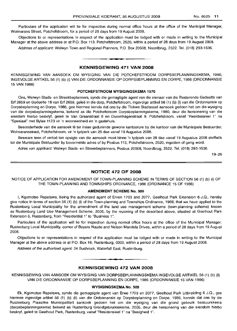Particulars of the application will lie for inspection during normal office hours at the office of the Municipal Manager, Wolmarans Street, Potchefstroom, for a period of 28 days from 19 August 2008.

Objections to or representations in respect of the application must be lodged with or made in writinq to the Municipal Manager at the above address or at P.O. Box 113, Potchefstroom, 2520, within a period of 28 days from 19 August 2008.

Address of applicant: Welwyn Town and Regional Planners, P.O. Box 20508, Noordbrug, 2522. Tel. (018) 293-1536.

## KENNISGEWING 471 VAN 2008

**- .**

KENNISGEWING VAN AANSOEK OM WYSIGING VAN DIE POTCHEFSTROOM DORPSBEPLANNINGSKEMA, 1980, INGEVOLGE ARTIKEL 56 (1) (b) (i) VAN DIE ORDONNANSIE OP DORPSBEPLANNING EN DORPE, 1986 (ORDONNANSIE 15 VAN 1986)

#### POTCHEFSTROOM WYSIGINGSKEMA 1570

Ons, Welwyn Stads- en Streekbeplanners, synde die gemagtigde agent van die eienaar van die Resterende Gedeelte van Erf 2659 en Gedeelte 18 van Erf 2659, geleë in die dorp, Potchefstroom, ingevolge artikel 56 (1) (b) (i) van die Ordonnansie op Dorpsbeplanning en Dorpe, 1986, gee hiermee kennis dat ons by die Tlokwe Stadsraad aansoek gedoen het om die wysiging van die dorpsbeplanningskema, bekend as die Potchefstroom Dorpsbeplanningskema, 1980, deur die hersonering van die eiendom hierbo beskryf, geleë te Van Graanstraat 8 en Duvenhagenstraat 9, Potchefstroom, vanaf "Residensieel 1" na "Spesiaal" met Bylae 1123 vir 'n wooneenheid en 'n gastehuis.

Besonderhede van die aansoek lê ter insae gedurende gewone kantoorure by die kantoor van die Munisipale Bestuurder, Wolmaransstraat, Potchefstroom, vir 'n tydperk van 28 dae vanaf 19 Augustus 2008.

Besware teen of vertoe ten opsigte van die aansoek moet binne 'n tydperk van 28 dae vanaf 19 Augustus 2008 skriftelik tot die Munisipale Bestuurder by bovermelde adres of by Posbus 113, Potchefstroom, 2520, ingedien of gerig word.

Adres van applikant: Welwyn Stads- en Streekbeplanners, Posbus 20508, Noordbrug, 2522. Tel. (018) 293-1536.

19-26

## NOTICE 472 OF 2008

NOTICE OF APPLICATION FOR AMENDMENT OF TOWN-PLANNING SCHEME IN TERMS OF SECTION 56 (1) (b) (i) OF THE TOWN-PLANNING AND TOWNSHIPS ORDINANCE, 1986 (ORDINANCE 15 OF 1986)

## AMENDMENT SCHEME No. 509

I, Kgomotso Rapetswa, being the authorized agent of Erven 1703 and 2077, Geelhout Park Extension 6-J.Q., hereby give notice in terms of section 56 (1) (b) (i) of the Town-planning and Townships Ordinance, 1986, that we have applied to the Rustenburg Local Municipality for the amendment of the land use management scheme (town-planning scheme) known as Flustenburg Land Use Management Scheme, 2005, by the rezoning of the described above, situated at Geelhout Park Extension 6, Rustenburg, from "Residential 1" to "Business 1".

Particulars of the application will lie for inspection during normal office hours at the office of the Municipal Manager: Rustenburg Local Municipality, corner of Beyers Naude and Nelson Mandela Drives, within a period of 28 days from 19 August 200B.

Objections to or representations in respect of the application must be lodged with or made in writing to the Municipal Manager at the above address or at PO. Box 16, Rustenburg, 0300, within a period of 28 days from 19 August 2008.

Address of the authorized agent: 24 Bushrock, Waterfall East, Rustenburg.

## • **- I** KENNISGEWING 472 VAN 2008

KENNISGEWING VAN AANSOEK OM WYSIGING VAN DORPSBEPLANNINGSKEMA INGEVOLGE AFtTIKEL 56 (1) (b) (ii) VAN DIE ORDONNANSIE OP DORPSBEPLANNING EN DORPE, 1986 (ORDONNANSIE 15 VAN 1986)

#### WYSIGINGSKEMA No. 509

Ek, Kgomotso Rapetswa, synde die gemagtigde agent van Erwe 1703 en 2077, Geelhout Park Uitbreiding 6 J.Q., gee hiermee ingevolge artikel 56 (1) (b) (ii) van die Ordonnansie op Dorpsbeplanning en Dorpe, 1986, kennis dat ons by die Rustenburg Plaaslike Munisipaliteit aansoek gedoen het om die wysiging van die grond gebruik bestuurskema (dorpsbeplanningskema) bekend as Rustenburg Grondgebruiksskema, 2005, deur die hersonering van die eiendom hierbo beskryf, geleë te Geelhout Park, Rustenburg, vanaf "Residensieel 1" na "Besigheid 1".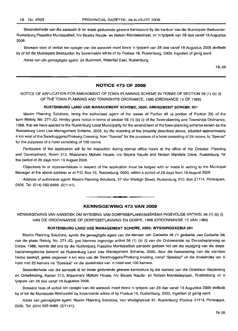Besonderhede van die aansoek lê ter insae gedurende gewone kantoorure by die kantoor van die Munisipale Bestuurder: Rustenburg Plaaslike Munisipaliteit, h/v Beyers Naude- en Nelson Mandelastraat, vir 'n tydperk van 28 dae vanaf 19 Augustus 2008.

Besware teen of vertoe ten opsigte van die aansoek moet binne 'n tydperk van 28 dae vanaf 19 Augustus 2008 skriftelik by of tot die Munisipale Bestuurder, by bovermelde adres of by Posbus 16, Rustenburg, 0300, ingedien of gerig word.

Adres van die gemagtigde agent: 24 Bushrock, Waterfall East, Rustenburg.

19-26

## NOTICE 473 OF 2008

## NOTICE OF APPLICATION FOR AMENDMENT OF TOWN-PLANNING SCHEME IN TERMS OF SECTION 56 (1) (b) (i) OF THE TOWN-PLANNING AND TOWNSHIPS ORDINANCE, 1986 (ORDINANCE 15 OF 1986)

#### RUSTENBURG LAND USE MANAGEMENT SCHEME, 2005: AMENDMENT SCHEME 501

Maxim Planning Solutions, being the authorised agent of the owner of Portion 48 (a portion of Portion 39) of the farm Rietvly, No. 271-JQ, hereby gives notice in terms of section 56 (1) (b) (i) of the Town-planning and Townships Ordinance, 1986, that we have applied to the Rustenburg Local Municipality for the amendment of the town-planning scheme known as the Rustenburg Land Use Management Scheme, 2005, by the rezoning of the property described above, situated approximately 4 km west of the Swartruggens/Phokeng Crossing, from "Special" for the purposes of a hotel consisting of 25 rooms, to "Special" for the purposes of a hotel consisting of 100 rooms.

Particulars of the application will lie for inspection during normal office hours at the office of the Director: Planning and Development, Room 313, Missionary Mpheni House, c/o Beyers Naude and Nelson Mandela Drive, Rustenburg, for the period of 28 days from 19 August 2008.

Objections to or representations in respect of the application must be lodged with or made in writing to the Municipal Manager at the above address or at P.O. Box 16, Rustenburg, 0300, within a period of 28 days from 19 August 2008.

Address of authorised agent: Maxim Planning Solutions, 37 Von Wielligh Street, Rustenburg; P.O. Box 21114, Proteapark, 0305. Tel: (014) 592-9489. (2/1141).

**- .**

## KENNISGEWING 473 VAN 2008

KENNISGEWING VAN AANSOEK OM WYSIGING VAN DORPSBEPLANNINGSKEMA INGEVOLGE ARTIKEL 56 (1) (b) (i) VAN DIE ORDONNANSIE OP DORPSBEPLANNING EN DORPE, 1986 (ORDONNANSIE 15 VAN 1986)

#### RUSTENBURG LAND USE MANAGEMENT SCHEME, 2005: WYSIGINGSKEMA 501

Maxim Planning Solutions, synde die gemagtigde agent van die eienaar van Gedeelte 48 ('n gedeelte van Gedeelte 39) van die plaas Rietvly, No. 271-JQ, gee hiermee ingevolge artikel 56 (1) (b) (i) van die Ordonnansie op Dorpsbeplanning en Dorpe, 1986, kennis dat ons by die Rustenburg Plaaslike Munisipaliteit aansoek gedoen het om die wysiging van die dorpsbeplanningskema bekend as Rustenburg Land Use Management Scheme, 2005, deur die hersonering van die eiendom hierbo beskryf, gelee ongeveer 4 km wes van die Swartruggens/Phokeng kruising, vanaf "Spesiaal" vir die doeleindes van 'n hotel met 25 kamers na "Spesiaal" vir die doeleindes van 'n hotel met 100 kamers.

Besonderhede van die aansoek Ie ter insae gedurende gewone kantoorure by die kantoor van die Direkteur: Beplanning en Ontwikkeling, Kamer 313, Missionary Mpheni House, h/v Beyers Naude- en Nelson Mandelarylaan, Rustenburg, vir 'n tydperk van 28 dae vanaf 19 Augustus 2008.

Besware teen of vertoe ten opsigte van die aansoek moet binne 'n tydperk van 28 dae vanaf 19 Augustus 2008 skriftelik by of tot die Munisipale Bestuurder by bovermelde adres of by Posbus 16, Rustenburg, 0300, ingedien of gerig word.

Adres van gemagtigde agent: Maxim Planning Solutions, Von Wiellighstraat 37, Rustenburg; Posbus 21114, Proteapark, 0305. Tel: (014) 592-9489. (2/1141).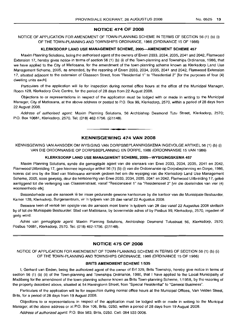## **NOTICE 474 OF 2008**

## NOTICE OF APPLICATION FOR AMENDMENT OF TOWN-PLANNING SCHEME IN TERMS OF SECTION 56 (1) (b) (i) OF THE TOWN-PLANNING AND TOWNSHIPS ORDINANCE, 1986 (ORDINANCE 15 OF 1986)

#### **KLERKSDORP LAND USE MANAGEMENT SCHEME, 2005-AMENDMENT SCHEME 457**

Maxim Planning Solutions, being the authorised agent of the owners of Erven 2033, 2034, 2035, 2041 and 2042, Flamwood Extension 17, hereby gives notice in terms of section 56 (1) (b) (i) of the Town-planning and Townships Ordinance, 1986, that we have applied to the City of Matlosana, for the amendment of the town-planning scheme known as Klerksdorp Land Use Management Scheme, 2005, as amended, by the rezoning of Erven 2033, 2034, 2035, 2041 and 2042, Flamwood Extension 17, situated adjacent to the extension of Claassen Street, from "Residential 1" to "Residential 2" [for the purposes of four (4) dwelling units each].

Particulars of the application will lie for inspection during normal office hours at the office of the Municipal Manager, Room 128, Klerksdorp Civic Centre, for the period of 28 days from 22 August 2008.

Objections to or representations in respect of the application must be lodged with or made in writing to the Municipal Manager, City of Matlosana, at the above address or posted to P.O. Box 99, Klerksdorp, 2570, within a period of 28 days from 22 August 2008.

Address of authorised agent: Maxim Planning Solutions, 56 Archbishop Desmond Tutu Street, Klerksdorp, 2570; P.O. Box 10681, Klerksdorp, 2570. Tel: (018) 462-1756. (2/1148).

## **KENNISGEWING 474 VAN 2008**

**• •**

KENNISGEWING VAN AANSOEK OM WYSIGING VAN DORPSBEPLANNINGSKEMA INGEVOLGE ARTIKEL 56 (1) (b) (i) VAN DIE ORDONNANSIE OP DORPSBEPLANNING EN DORPE, <sup>1986</sup> (ORDONNANSIE <sup>1</sup>s VAN 1986)

#### **KLERKSDORP LAND USE MANAGEMENT SCHEME, 2005-WYSIGINGSKEMA 457**

Maxim Planning Solutions, synde die gemagtigde agent van die eienaars van Erwe 2033, 2034, 2035, 2041 en 2042, Flamwood Uitbreiding 17, gee hiermee ingevolge artikel 56 (1) (b) (i) van die Ordonnansie op Dorpsbeplanning en Dorpe, 1986, kennis dat ons by die Stad van Matlosana aansoek gedoen het om die wysiging van die Klerksdorp Land Use Management Scheme, 2005, soos gewysig, deur die hersonering van Erwe 2033, 2034, 2035, 2041 en 2042, Flamwood Uitbreiding 17, qelee aanliggend tot die verlenging van Claassenstraat, vanaf "Residensieel 1" na "Residensieel 2" [vir die doeleindes van vier (4) wooneenhede elk].

Besonderhede van die aansoek lê ter insae gedurende gewone kantoorure by die kantoor van die Munisipale Bestuurder, Kamer 128, Klerksdorp, Burgersentrum, vir 'n tydperk van 28 dae vanaf 22 Augustus 2008.

Besware teen of vertoë ten opsigte van die aansoek moet binne 'n tydperk van 28 dae vanaf 22 Augustus 2008 skriftelik by of tot die Munisipale Bestuurder: Stad van Matlosana, by bovermelde adres of by Posbus 99, Klerksdorp, 2570, ingedien of gerig word.

Adres van gemagtigde agent: Maxim Planning Solutions, Archbishop Desmond Tutustraat 56, Klerksdorp, 2570; Posbus 10681, Klerksdorp, 2570. Tel: (018) 462-1756. (2/1148).

## **NOTICE 475 OF 2008**

NOTICE OF APPLICATION FOR AMENDMENT OF TOWN-PLANNING SCHEME IN TERMS OF SECTION 56 (1) (b) (ii) OF THE TOWN-PLANNING AND TOWNSHIPS ORDINANCE, 1986 (ORDINANCE 15 OF 1986)

#### **BRITS AMENDMENT SCHEME** 1/535

I, Gerhard van Eeden, being the authorized agent of the owner of Erf 329, Brits Township, hereby give notice in terms of section 56 (1) (b) (ii) of the Town-planning and Townships Ordinance, 1986, that I have applied to the Local Municipality of Madibeng for the amendment of the town-planning scheme known as Brits Town-planning Scheme, 1/1958, by the rezoning of the property described above, situated at 54 Harringtonn Street, from "Special Residential" to "General Business".

Particulars of the application will lie for inspection during normal office hours at the Municipal Offices, Van Velden Street, Brits, for a period of 28 days from 19 August 2008.

Objections to or representations in respect of the application must be lodged with or made in writing to the Municipal Manager, at the above address or at P.O. Box 106, Brits, 0250, within a period of 28 days from 19 August 2008.

Address of authorized agent: P.O. Box 583, Brits, 0250. Cell: 084 533 0006.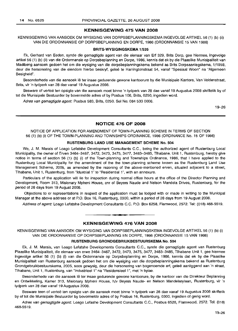## **KENNISGEWING 475 VAN 2008**

KENNISGEWING VAN MNSOEK OM WYSIGING VAN DORPSBEPLANNINGSKEMA INGEVOLGE ARTIKEL 56 (1) (b) (ii) VAN DIE ORDONNANSIE OP DORPSBEPLANNING EN DORPE, 1986 (ORDONNANSIE 15 VAN 1986)

#### **BRITS·WYSIGINGSKEMA** 1/535

Ek, Gerhard van Eeden, synde die gemagtigde agent van die eienaar van Ert 329, Brits Dorp, gee hiermee, ingevolge artikel 56 (1) (b) (ii) van die Ordonnansie op Dorpsbeplanning en Dorpe, 1986, kennis dat ek by die Plaaslike Munisipaliteit van Madibeng aansoek gedoen het om die wysiging van die dorpsbeplanningskema bekend as Brits Dorpsaanlegskema, 1/1958, deur die hersonering van die eiendom hierbo beskryf, geleë te Harringtonstraat 54, vanaf "Spesiaal Woon" na "Algemeen Besigheid".

Besonderhede van die aansoek lê ter insae gedurende gewone kantoorure by die Munisipale Kantore, Van Veldenstraat, Brits, vir 'n tydperk van 28 dae vanaf 19 Augustus 2008.

Besware of vertoë ten opsigte van die aansoek moet binne 'n tydperk van 28 dae vanaf 19 Augustus 2008 skriftelik by of tot die Munisipale Bestuurder by bovermelde adres of by Posbus 106, Brits, 0250, ingedien word.

Adres van gemagtigde agent: Posbus 583, Brits, 0250. Sel No: 084 533 0006.

19-26

## **NOTICE 476 OF 2008**

NOTICE OF APPLICATION FOR AMENDMENT OF TOWN-PLANNING SCHEME IN TERMS OF SECTION 56 (1) (b) (i) OF THE TOWN-PLANNING AND TOWNSHIPS ORDINANCE, 1986 (ORDINANCE No. 15 OF 1986)

## **RUSTENBURG LAND USE MANAGEMENT SCHEME No. 504**

We, J. M. Marais of Loago Lefatshe Development Consultants C.C., being the authorized agent of Rustenburg Local Municipality, the owner of Erven 3464-3467, 3472, 3473, 3475, 3477, 3483-3485, Tlhabane, Unit 1, Rustenburg, hereby give notice in terms of section 56 (1) (b) (i) of the Town-planning and Townships Ordinance, 1986, that I have applied to the Rustenburg Local Municipality for the amendment of the the town-planning scheme known as the Rustenburg Land Use Management Scheme, 2005, as amended by the rezoning of the above-mentioned erven, situated adjacent to a street, Tlhabane, Unit 1, Rustenburg, from "Idustrial 1" to "Residential 1", with an annexure.

Particulars of the application will lie for inspection during normal office hours at the office of the Director Planning and Development, Room 313, Misionary Mpheni House, cnr of Beyers Naude and Nelson Mandela Drives, Rustenburg, for the period of 28 days from 19 August 2008.

Objections to or representations in respect of the application must be lodged with or made in writing to the Municipal Manager at the above address or at P.O. Box 16, Rustenburg, 0300, within a period of 28 days from 19 August 2008.

Address of agent: Loago Lefatshe Development Consultants C.C. P.O. Box 6258, Flamwood, 2572. Tel: (018) 468-5519.

## **• KENNISGEWING 476 VAN 2008**

KENNISGEWING VAN MNSOEK OM WYSIGING VAN DORPSBEPLANNINGSKEMA INGEVOLGE ARTIKEL 56 (1) (b) (i) VAN DIE ORDONNANSIE OP DORPSBEPLANNING EN DORPE, 1986 (ORDONNANSIE 15 VAN 1986)

#### **RUSTENBURG GRONDGEBRIUKBESTUURSKEMA No. 504**

Ek, J. M. Marais, van Loago Lefatshe Developments Consultants C.C., synde die gemagtigde agent van Rustenburg Plaaslike Munisipaliteit, die eienaar van erwe 3464-3467, 3472, 3473, 3475, 3477, 3483-3485, Tlhabane Unit 1, gee hiermee ingevolge artikel 56 (1) (b) (i) van die Ordonnansie op Dorpsbeplanning en Dorpe, 1986, kennis dat ek by die Plaaslike Munisipaliteit van Rustenburg aansoek gedoen het om die wysiging van die dorpsbeplanningskema bekend as Rustenburg Grondgebruikbestuurskema, 2005, soos gewysig, deur die hersonering van bogenoemde ert, gelee aanliggend aan 'n straat, Tlhabane, Unit 1, Rustenburg, van "Industrieel 1" na "Residensieel 1", met 'n bylae.

Besonderhede van die aansoek lê ter insae gedurende gewone kantoorure, by die kantoor van die Direkteur Beplanning en Ontwikkeling, Kamer 313, Misionary Mpheni House, h/v Beyers Naude- en Nelson Mandelarylaan, Rustenburg, vir 'n tydperk van 28 dae vanaf 19 Augustus 2008.

Besware teen of vertoe ten opsigte van die aansoek moet binne 'n tydperk van 28 dae vanaf 19 Augustus 2008 skriftelik by of tot die Munisipale Bestuurder by bovermelde adres of by Posbus 16, Rustenburg, 0300, ingedien of gerig word.

Adres van gemagtigde agent: Loago Lefashe Development Consultants C.C., Posbus 6528, Flamwood, 2572. Tel: (018) 468-5519.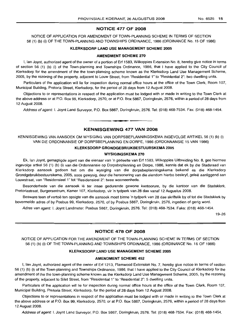## NOTICE 477 OF 2008

NOTICE OF APPLICATION FOR AMENDMENT OF TOWN-PLANNING SCHEME IN TERMS OF SECTION 56 (1) (b) (i) OF THE TOWN-PLANNING AND TOWNSHIPS ORDINANCE, 1986 (ORDINANCE No. 15 OF 1986)

#### KLERKSDORP LAND USE MANAGEMENT SCHEME 2005

#### AMENDMENT SCHEME 270

I, Ian Joynt, authorized agent of the owner of a portion of Erf 1583, Wilkoppies Extension No.8, hereby give notice in terms of section 56 (1) (b) (i) of the Town-planning and Townships Ordinance, 1986, that I have applied to the City Council of Klerksdorp for the amendment of the the town-planning scheme known as the Klerksdorp Land Use Management Scheme, 2005, by the rezoning of the property, adjacent to Louw Street, from "Residential 1" to "Residential 2": two dwelling units.

Particulars of the application will lie for inspection during normal office hours at the office of the Town Clerk, Room 107, Municipal BUilding, Pretoria Street, Klerksdorp, for the period of 28 days from 12 August 2008.

Objections to or representations in respect of the application must be lodged with or made in writing to the Town Clerk at the above address or at P.O. Box 99, Kferksdorp, 2570, or at P.O. Box 5867, Doringkruin, 2576, within a period of 28 days from 12 August 2008.

Address of agent: I. Joynt Land Surveyor, P.O. Box 5867, Doringkruin, 2576. Tel: (018) 468-7534. Fax: (018) 468-1454.

## KENNISGEWING 477 VAN 2008

**•**

KENNISGEWING VAN AANSOEK OM WYSIGING VAN DORPSBEPLANNINGSKEMA INGEVOLGE ARTIKEL 56 (1) (b) (i) VAN DIE ORDONNANSIE OP DORPSBEPLANNING EN DORPE, 1986 (ORDONNANSIE 15 VAN 1986)

#### KLERKSDORP GRONDGEBRIUKBESTUURSKEMA 2005

#### WYSIGINGSKEMA 270

Ek, Ian Joynt, gemagtigde agent van die eienaar van 'n gedeelte van Erf 1583, Wilkoppies Uitbreiding No.8, gee hiermee ingevolge artkel 56 (1) (b) (i) van die Ordonnansie op Dorpsbeplanning en Dorpe, 1986, kennis dat ek by die Stadsraad van Klerksdorp aansoek gedoen het om die wysiging van die dorpsbeplanningskema bekend as die Klerksdorp Grondgebruikbestuurskema, 2005, soos gewysig, deur die hersonering van die eiendom hierbo beskryf, geleë aanliggend aan Louwstraat, van "Residensieel 1" tot "Residensieel 2": twee wooneenhede.

Besonderhede van die aansoek lê ter insae gedurende gewone kantoorure, by die kantoor van die Stadsklerk, Pretoriastraat, Burgersentrum, Kamer 107, Klerksdorp, vir 'n tydperk van 28 dae vanaf 12 Augustus 2008.

Besware teen of vertoë ten opsigte van die aansoek moet binne 'n tydperk van 28 dae skriftelik by of tot die Stadsklerk by bovermelde adres of by Posbus 99, Klerksdorp, 2570, of by Posbus 5867, Doringkruin, 2576, ingedien of gerig word.

Adres van agent: I. Joynt Landmeter, Posbus 5867, Doringkruin, 2576. Tel: (018) 468-7534. Faks: (018) 468-1454.

19-26

#### NOTICE 478 OF 2008

NOTICE OF APPLICATION FOR THE AMENDMENT OF THE TOWN-PLANNING SCHEME IN TERMS OF SECTION 56 (1) (b) (i) OF THE TOWN-PLANNING AND TOWNSHIPS ORDINANCE, 1986 (ORDINANCE No. 15 OF 1986)

#### KLERKSDORP LAND USE MANAGEMENT SCHEME 2005

#### AMENDMENT SCHEME 452

I, Ian Joynt, authorized agent of the owner of Erf 1213, Flamwood Extension No.7, hereby give notice in terms of section 56 (1) (b) (i) of the Town-planning and Townships Ordinance, 1986, that I have applied to the City Council of Klerksdorp for the amendment of the the town-planning scheme known as the Klerksdorp Land Use Management Scheme, 2005, by the rezoning of the property, adjacent to Silet Street, from "Residential 1" to "Residential 2": 5 dwelling units.

Particulars of the application will lie for inspection during normal office hours at the office of the Town Clerk, Room 107, Municipal Building, Pretoria Street, Klerksdorp, for the period of 28 days from 12 August 2008.

Objections to or representations in respect of the application must be lodged with or made in writing to the Town Clerk at the above address or at P.O. Box 99, Klerksdorp, 2570, or at P.O. Box 5867, Doringkruin, 2576, within a period of 28 days from 12 August 2008.

Address of agent: I. Joynt Land Surveyor, P.O. Box 5867, Doringkruin, 2576. Tel: (018) 468-7534. Fax: (018) 468-1454.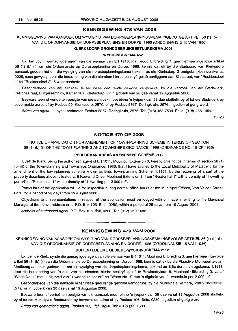### **KENNISGEWING 478 VAN 2008**

## KENNISGEWING VAN AANSOEK OM WYSIGING VAN DORPSBEPLANNINGSKEMA INGEVOLGE ARTIKEL 56 (1) (b) (i) VAN DIE ORDONNANSIE OP DORPSBEPLANNING EN DORPE, 1986 (ORDONNANSIE 15 VAN 1986)

#### **KLERKSDORP GRONDGEBRUIKBESTUURSKEMA 2005**

#### **WYSIGINGSKEMA 452**

Ek, Ian Joynt, gemagtigde agent van die eienaar van Erf 1213, Flamwood Uitbreiding 7, gee hiermee ingevolge artikel 56 (1) (b) (i) van die Ordonnansie op Dorpsbeplanning en Dorpe, 1986, kennis dat ek by die Stadsraad van Klerksdorp aansoek gedoen het om die wysiging van die dorpsbeplanningskema bekend as die Klerksdorp Grondgebruikbestuurskema, 2005, soos gewysig, deur die hersonering van die eiendom hierbo beskryf, gelee aanliggend aan Siletstraat, van "Residensieel 1" tot "Residensieel 2": 5 wooneenhede.

Besonderhede van die aansoek lê ter insae gedurende gewone kantoorure, by die kantoor van die Stadsklerk, Pretoriastraat, Burgersentrum, Kamer 107, Klerksdorp, vir 'n tydperk van 28 dae vanaf 12 Augustus 2008.

Besware teen of vertoë ten opsigte van die aansoek moet binne 'n tydperk van 28 dae skriftelik by of tot die Stadsklerk by bovermelde adres of by Posbus 99, Klerksdorp, 2570, of by Posbus 5867, Doringkruin, 2576, ingedien of gerig word.

Adres van agent: I. Joynt Landmeter, Posbus 5867, Doringkruin, 2576. Tel: (018) 468-7534. Faks: (018) 468-1454.

19-26

#### **NOTICE 479 OF 2008**

NOTICE OF APPLICATION FOR AMENDMENT OF TOWN-PLANNING SCHEME IN TERMS OF SECTION 56 (1) (b) (ii) OF THE TOWN-PLANNING AND TOWNSHIPS ORDINANCE, 1986 (ORDINANCE NO. 15 OF 1986)

## **PERI URBAN AREAS AMENDMENT SCHEME 2112**

I, Jeff de Klerk, being the authorised agent of Erf 1011, Mooinooi Extension 3, hereby give notice in terms of section 56 (1) (b) (ii) of the Town-planning and Townships Ordinance, 1986, that I have applied to the Local Muicipality of Madibeng for the amendment of the town-planning scheme known as Brits Town-planning Scheme, 1/1958, by the rezoning of a part of the property described above, situated at 8 Rowland Drive, Mooinooi Extension 3, from "Resdential 1" with a density of "1 dwelling per erf" to "Residential 1" with a density of "1 dwelling per 2 000 m<sup>2</sup>".

Particulars of the application will lie for inspection during normal office hours at the Municipal Offices, Van Velden Street, Brits, for a period of 28 days from 19 August 2008.

Objections to or representations in respect of the application must be lodged with or made in writing to the Municipal Manager at the above address or at P.O. Box 106, Brits, 0250, within a period of 28 days from 19 August 2008.

Address of authorised agent: P.O. Box 105, Ifafi, 0260. Tel: (012) 259-1688.

#### **KENNISGEWING 479 VAN 2008**

**•**

KENNISGEWING VAN AANSOEK OM WYSIGING VAN DORPSBEPLANNINGSKEMA INGEVOLGE ARTIKEL 56 (1) (b) (ii) VAN DIE ORDONNANSIE OP DORPSBEPLANNING EN DORPE, 1986 (ORDONNANSIE 15 VAN 1986)

## **BUITESTEDELIKE GEBIEDE-WYSIGINGSKEMA 2112**

Ek, Jeff de Klerk, synde die gemagtigde agent van die eienaar van Erf 1011, Mooinooi Uitbreiding 3, gee hiermee ingevolge artkel 56 (1) (b) (ii) van die Ordonnansie op Dorpsbeplanning en Dorpe, 1986, kennis dat ek by die Plaaslike Munisipaliteit van Madibeng aansoek gedoen het om die wysiging van die dorpsbeplanningskema, bekend as Brits-dorpsaanlegskema, 1/1958, deur die hersonering van 'n deel van die eiendom hierbo beskryf, geleë te Rowlandrylaan 8, Mooinooi Uitbreiding 3, vanaf "Woon No. 1" met 'n digtheid van "1 woonhuis per erf" na "Woon No. 1" met 'n digtheid van "1 woonhuis per 2 000 m<sup>2"</sup>.

Besonderhede van die aansoek lê ter insae gedurende gewone kantoorure, by die Munisipale Kantore, Van Veldenstraat, Brits, vir 'n tydperk van 28 dae vanaf 19 Augustus 2008.

Besware teen of vertoe ten opsigte van die aansoek moet binne 'n tydperk van 28 dae vanaf 19 Augustus 2008 skriftelik by of tot die Munisipale Bestuurder, by bovermelde adres of by Posbus 106, Brits, 0250, ingedien of gerig word.

Adres van gemagtigde agent: Posbus 105, Ifafi, 0260. Tel: (012) 259-1688.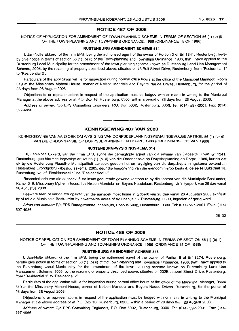## **NOTICE 487 OF 2008**

## NOTICE OF APPLICATION FOR AMENDMENT OF TOWN-PLANNING SCHEME IN TERMS OF SECTION 56 (1) (b) (i) OF THE TOWN-PLANNING AND TOWNSHIPS ORDNANCE, 1986 (ORDINANCE 15 OF 1986)

#### **RUSTENBURG AMENDMENT SCHEME** 514

I, Jan-Nolte Ekkerd, of the firm EPS, being the authorised agent of the owner of Portion 3 of Erf 1341, Rustenburg, hereby give notice in terms of section 56 (1) (b) (i) of the Town-planning and Townships Ordinance, 1986, that I have applied to the Rustenburg Local Municipality for the amendment of the town-planning scheme known as Rustenburg Land Use Management Scheme, 2005, by the rezoning of property described above, situated on 18 Bult Street Drive, Rustenburg, from "Residential 1" to "Residential 2".

Particulars of the application will lie for inspection during normal office hours at the office of the Municipal Manager, Room 319 at the Missionary Mpheni House, corner of Nelson Mandela and Beyers Naude Drives, Rustenburg, for the period of 28 days from 26 August 2008.

Objections to or representations in respect of the application must be lodged with or made in writing to the Municipal Manager at the above address or at P.O. Box 16, Rustenburg, 0300, within a period of 28 days from 26 August 2008.

Address of owner: C/o EPS Consulting Engineers, PO. Box 5002, Rustenburg, 0300. Tel: (014) 597-2001. Fax: (014) 597-4956.

## **KENNISGEWING 487 VAN 2008**

**• •**

KENNISGEWING VAN AANSOEK OM WYSIGING VAN DORPSBEPLANNINGSKEMA INGEVOLGE ARTIKEL 56 (1) (b) (i) VAN DIE ORDONNANSIE OP DORPSBEPLANNING EN DORPE, 1986 (ORDONNANSIE is VAN 1986)

#### **RUSTENBURG-WYSIGINGSKEMA** 514

Ek, Jan-Nolte Ekkerd, van die firma EPS, synde die gemagtigde agent van die eienaar van Gedeelte 3 van Erf 1341, Rustenburg, gee hiermee ingevolge artikel 56 (1) (b) (i) van die Ordonnansie op Dorpsbeplanning en Dorpe, 1986, kennis dat ek by die Rustenburg Plaaslike Munisipaliteit aansoek gedoen het om wysiging van die dorpsbeplanningskema bekend as Rustenburg Grondgebruiksbestuursskema, 2005, deur die hersonering van die eiendom hierbo beskryf, gelee te Bultstraat 18, Rustenburg, vanaf "Residensieel 1" na "Residensieel 2".

Besonderhede van die aansoek lê ter insae gedurende gewone kantoorure by die kantoor van die Munisipale Bestuurder, Kamer 319, Missionary Mpheni House, h/v Nelson Mandela- en Beyers Naudelaan, Rustenburg, vir 'n tydperk van 28 dae vanaf 26 Augustus 2008.

Besware teen of vertoe ten opsigte van die aansoek moet binne 'n tydperk van 28 dae vanaf 26 Augustus 2008 skriftelik by of tot die Munisipale Bestuurder by bovermelde adres of by Posbus 16, Rustenburg, 0300, ingedien of gerig word.

Adres van eienaar: *Pia* EPS Raadgewende Ingenieurs, Posbus 5002, Rustenburg, 0300. Tel: (014) 597-2001. Faks: (014) 597-4956.

26-02

## **NOTICE 488 OF 2008**

NOTICE OF APPLICATION FOR AMENDMENT OF TOWN-PLANNING SCHEME IN TERMS OF SECTION 56 (1) (b) (i) OF THE TOWN-PLANNING AND TOWNSHIPS ORDNANCE, 1986 (ORDINANCE 15 OF 1986)

#### **RUSTENBURG AMENDMENT SCHEME** 515

I, Jan-Nolte Ekkerd, of the firm EPS, being the authorised agent of the owner of Portion 5 of Erf 1274, Rustenburg, hereby give notice in terms of section 56 (1) (b) (i) of the Town-planning and Townships Ordinance, 1986, that I have applied to the Rustenburg Local Municipality for the amendment of the town-planning scheme known as Rustenburg Land Use Management Scheme, 2005, by the rezoning of property described above, situated on 202B Joubert Street Drive, Rustenburg, from "Residential 1" to "Residential 2".

Particulars of the application will lie for inspection during normal office hours at the office of the Municipal Manager, Room 319 at the Missionary Mpheni House, corner of Nelson Mandela and Beyers Naude Drives, Rustenburg, for the period of 28 days from 26 August 2008.

Objections to or representations in respect of the application must be lodged with or made in writing to the Municipal Manager at the above address or at P.O. Box 16, Rustenburg, 0300, within a period of 28 days from 26 August 2008.

Address of owner: C/o EPS Consulting Engineers, PO. Box 5002, Rustenburg, 0300. Tel: (014) 597-2001. Fax: (014) 597-4956.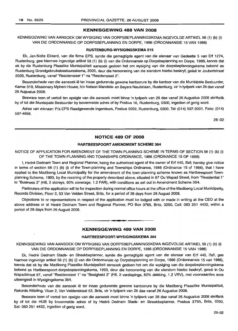## KENNISGEWING 488 VAN 2008

KENNISGEWING VAN AANSOEK OM WYSIGING VAN DORPSBEPLANNINGSKEMA INGEVOLGE ARTIKEL 56 (1) (b) (i) VAN DIE ORDONNANSIE OP DORPSBEPLANNING EN DORPE, 1986 (ORDONNANSIE 15 VAN 1986)

## RUSTENBURG·WYSIGINGSKEMA 515

Ek, Jan-Nolte Ekkerd, van die firma EPS, synde die gemagtigde agent van die eienaar van Gedeelte 5 van Erf 1274, Rustenburg, gee hiermee ingevolge artikel 56 (1) (b) (i) van die Ordonnansie op Dorpsbeplanning en Dorpe, 1986, kennis dat ek by die Rustenburg Plaaslike Munisipaliteit aansoek gedoen het om wysiging van die dorpsbeplanningskema bekend as Rustenburg Grondgebruiksbestuursskema, 2005, deur die hersonering van die eiendom hierbo beskryf, gelee te Joubertstraat 202B, Rustenburg, vanaf "ResidensieeI1" na "Residensieel 2".

Besonderhede van die aansoek lê ter insae gedurende gewone kantoorure by die kantoor van die Munisipale Bestuurder, Kamer 319, Missionary Mpheni House, h/V Nelson Mandela- en Beyers Naudelaan, Rustenburg, vir 'n tydperk van 28 dae vanaf 26 Augustus 2008.

Besware teen of vertoe ten opsigte van die aansoek moet binne 'n tydperk van 28 dae vanaf 26 Augustus 2008 skriftelik by of tot die Munisipale Bestuurder by bovermelde adres of by Posbus 16, Rustenburg, 0300, ingedien of gerig word.

Adres van eienaar: Pia EPS Raadgewende Ingenieurs, Posbus 5002, Rustenburg, 0300. Tel: (014) 597-2001. Faks: (014) 597-4956.

26-02

## NOTICE 489 OF 2008

#### HARTBEESPOORT AMENDMENT SCHEME 364

NOTICE OF APPLICATION FOR AMENDMENT OF THE TOWN-PLANNING SCHEME IN TERMS OF SECTION 56 (1) (b) (i) OF THE TOWN-PLANNING AND TOWNSHIPS ORDINANCE, 1986 (ORDINANCE 15 OF 1986)

I, Hedré Dednam Town and Regional Planner, being the authorized agent of the owner of Erf 440, Ifafi, hereby give notice in terms of section 56 (1) (b) (i) of the Town-planning and Townships Ordinance, 1986 (Ordinance 15 of 1986), that I have applied to the Madibeng Local Municipality for the amendment of the town-planning scheme known as Hartbeespoort Townplanning Scheme, 1993, by the rezoning of the property described above, situated in 97 Ou Wapad Street, from "Residential 1" to "Business 2" (H8, 2 storeys, 60% coverage, 1.2 FAR), with conditions as set out in Amendment Scheme 364.

Particulars of the application will lie for inspection during normal office hours at the office of the Madibeng Local Municipality, Records Division, Floor 2, 53 Van Velden Street, Brits, for a period of 28 days from 26 August 2008.

Objections to or representations in respect of the application must be lodged with or made in writing at the CEO at the above address or at Hedre Dednam Town and Regional Planner, PO Box 3765, Brits, 0250, Cell: 083 251 4432, within a period of 28 days from 26 August 2008.

#### KENNISGEWING 489 VAN 2008

**• •**

#### HARTBEESPOORT·WYSIGINGSKEMA 364

KENNISGEWING VAN AANSOEK OM WYSIGING VAN DORPSBEPLANNINGSKEMA INGEVOLGE ARTIKEL 56 (1) (b) (i) VAN DIE ORDONNANSIE OP DORPSBEPLANNING EN DORPE, 1986 (ORDONNANSIE 15 VAN 1986)

Ek, Hedré Dednam Stads- en Streekbeplanner, synde die gemagtigde agent van die eienaar van Erf 440, Ifafi, gee hiermee ingevolge artikel 56 (1) (b) (i) van die Ordonnansie op Dorpsbeplanning en Dorpe, 1986 (Ordonnansie 15 van 1986), kennis dat ek by die Madibeng Plaaslike Munisipaliteit aansoek gedoen het om die wysiging van die dorpsbeplanningskema bekend as Hartbeespoort-dorpsbeplanningskema, 1993, deur die hersonering van die eiendom hierbo beskryf, geleë in Ou Wapadstraat 97, vanaf "Residensieel 1" na "Besigheid 2" (H8, 2 verdiepings, 60% dekking, 1.2 VRV), met voorwaardes soos uiteengesit in Wysigingskema 364.

Besonderhede van die aansoek lê ter insae gedurende gewone kantoorure by die Madibeng Plaaslike Munisipaliteit, Rekords Afdeling, Vloer 2, Van Veldenstraat 53, Brits, vir 'n tydperk van 28 dae vanaf 26 Augustus 2008.

Besware teen of vertoë ten opsigte van die aansoek moet binne 'n tydperk van 28 dae vanaf 26 Augustus 2008 skriftelik by of tot die HUB by bovermelde adres of by Hedre Dednam Stads- en Streekbeplanner, Posbus 3765, Brits, 0250, Sel: 083251 4432, ingedien of gerig word.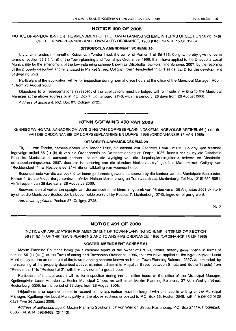#### **NOTICE 490 OF 2008**

NOTICE OF APPLICATION FOR THE AMENDMENT OF THE TOWN-PLANNING SCHEME IN TERMS OF SECTION 56 (1) (b) (i) OF THE TOWN-PLANNING AND TOWNSHIPS ORDINANCE, 1986 (ORDINANCE 15 OF 1986)

#### **DITSOBOTLA AMENDMENT SCHEME 29**

I, J.J. van Tender, on behalf of Kobus van Tonder Trust, the owner of Portion 1 of Erf 615, Coligny, hereby give notice in terms of section 56 (1) (b) (i) of the Town-planning and Townships Ordinance, 1986, that I have applied to the Ditsobotla Local Municipality for the amendment of the town-planning scheme known as Ditsobotla Town-planning Scheme, 2007, by the rezoning of the property described above, situated in Market Street, Coligny, from "Residential 1" to "Residential 2" for the development of dwelling units.

Particulars of the application will lie for inspection during normal office hours at the office of the Municipal Manager, Room 4, from 26 August 2008.

Objections to or representations in respect of the applications must be lodged with or made in writing to the Municipal Manager at the above address or at P.O. Box 7, Lichtenburg, 2740, within a period of 28 days from 26 August 2008.

Address of applicant: P.O. Box 87, Coligny, 2725.

## **KENNISGEWING 490 VAN 2008**

.**- .**

KENNISGEWING VAN AANSOEK OM WYSIGING VAN DORPSBEPLANNINGSKEMA INGEVOLGE AHTIKEL 56 (1) (b) (i) VAN DIE ORDONNANSIE OP DORPSBEPLANNING EN DORPE, 1986 (ORDONNANSIE 15 VAN 1986)

#### **DITSOBOTLA-WYSIGINGSKEMA 29**

Ek, J.J. van Tonder, namens Kobus van Tonder Trust, die eienaar van Gedeelte 1 van Erf 615, Goligny, gee hiermee ingevolge artikel 56 (1) (b) (i) van die Ordonnansie op Dorpsbeplanning en Dorpe, 1986, kennis dat ek by die Ditsobotla Plaaslike Munisipaliteit aansoek gedoen het om die wysiging van die dorpsbeplanningskema bekend as Ditsobotladorpsbeplanningskema, 2007, deur die hersonering van die eiendom hierbo beskryf, geleë in Marketstraat, Coligny, van "Residensieel 1" na "Residensieel 2" vir die ontwikkeling van wooneenhede.

Besonderhede van die aansoek lê ter insae gedurende gewone kantoorure by die kantoor van die Munisipale Bestuurder, Kamer 4, Eerste Vloer, Burgersentrum, *hlv* Dr. Nelson Mandelaweg en Transvaalstraat, Lichtenburg, Tel No. (018) 632-5051, vir 'n tydperk van 28 dae vanaf 26 Augustus 2008.

Besware teen of vertoe ten opsigte van die aansoek moet binne 'n tydperk van 28 dae vanaf 26 Augustus 2008 skriftelik by of tot die Munisipale Bestuurder by bovermelde adres of by Posbus 7, Lichtenburg, 2740, ingedien of gerig word.

Adres van applikant: Posbus 87, Coligny, 2725.

26-2

## **NOTICE 491 OF 2008**

NOTICE OF APPLICATION FOR AMENDMENT OF TOWN-PLANNING SCHEME IN TERMS OF SECTION 56 (1) (b) (i) OF THE TOWN-PLANNING AND TOWNSHIPS ORDINANCE, 1986 (ORDINANCE 15 OF 1986)

#### **KOSTER AMENDMENT SCHEME 51**

Maxim Planning Solutions being the authorised agent of the owner of Erf 59, Koster, hereby gives notice in terms of section 56 (1) (b) (i) of the Town-planning and Townships Ordinance, 1986, that we have applied to the Kgetlengrivier Local Municipality for the amendment of the town-planning scheme known as Koster Town Planning Scheme, 1997, as amended, by the rezoning of the property described above, situated adjacent to Magalies Street (between Smuts and Botha Streets) from "Residential 1" to "Residential 2", with the inclusion of a guesthouse.

Particulars of the application will lie for inspection during normal office hours at the office of the Municipal Manager, Kgetlengrivier Local Municipality, Koster Municipal Offices as well as at Maxim Planning Solutions, 37 Von Wielligh Street, Rustenburg, 0299, for the period of 28 days from 26 August 2008.

Objections to or representations in respect of the application must be lodged with or made in writinq to the Municipal Manager, Kgetlengrivier Local Municipality at the above address or posted to P.O. Box 66, Koster, 0348, within a period of 28 days from 26 August 2008.

Address of authorised agent: Maxim Planning Solutions, 37 Von Wielligh Street, Rustenburg, P.O. Box 21114, Proteapark, 0305. Tel: (014) 592-9489. (2/1143).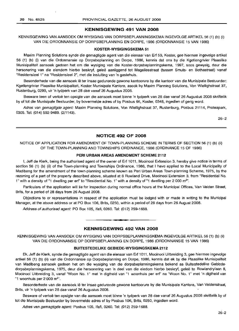## **KENNISGEWING 491 VAN 2008**

KENNISGEWING VAN AANSOEK OM WYSIGING VAN DORPSBEPLANNINGSKEMA INGEVOLGE ARTIKEL 56 (1) (b) (i) VAN DIE ORDONNANSIE OP DORPSBEPLANNING EN DORPE, 1986 (ORDONNANSIE 15 VAN 1986)

#### **KOSTER-WYSIGINGSKEMA 51**

Maxim Planning Solutions synde die gemagtigde agent van die eienaar van Erf 59, Koster, gee hiermee ingevolge artikel 56 (1) (b) (i) van die Ordonnansie op Dorpsbeplanning en Dorpe, 1986, kennis dat ons by die Kgetlengrivier Plaaslike Munisipaliteit aansoek gedoen het om die wysiging van die Koster-dorpsbeplanningskema, 1997, soos gewysig, deur die hersonering van die eiendom hierbo beskryf, gelee aanliggend tot Magaliesstraat (tussen Smuts- en Bothastraat) vanaf "ResidensieeI1" na "Residensieel 2", met die insluiting van 'n gastehuis.

Besonderhede van die aansoek lê ter insae gedurende gewone kantoorure by die kantoor van die Munisipale Bestuurder: Kgetlengrivier Plaaslike Munisipaliteit, Koster Munisipale Kantore, asook by Maxim Planning Solutions, Von Wiellighstraat 37, Rustenburg, 0299, vir 'n tydperk van 28 dae vanaf 26 Augustus 2008.

Besware teen of vertoe ten opsigte van die aansoek moet binne 'n tydperk van 28 dae vanaf 26 Augustus 2008 skriftelik by of tot die Munisipale Bestuurder, by bovermelde adres of by Posbus 66, Koster, 0348, ingedien of gerig word.

Adres van gemagtigde agent: Maxim Planning Solutions, Von Wiellighstraat 37, Rustenburg, Posbus 21114, Proteapark, 0305. Tel: (014) 592-9489. (2/1143).

26-2

## **NOTICE 492 OF 2008**

NOTICE OF APPLICATION FOR AMENDMENT OF TOWN-PLANNING SCHEME IN TERMS OF SECTION 56 (1) (b) (ii) OF THE TOWN-PLANNING AND TOWNSHIPS ORDINANCE, 1986 (ORDINANCE 15 OF 1986)

#### **PERI URBAN AREAS AMENDMENT SCHEME 2112**

I, Jeff de Klerk, being the authorised agent of the owner of Erf 1011, Mooinooi Extension 3, hereby give notice in terms of section 56 (1) (b) (ii) of the Town-planning and Townships Ordinance, 1986, that I have applied to the Local Municipality of Madibeng for the amendment of the town-planning scheme known as Peri Urban Areas Town-planning Scheme, 1975, by the rezoning of a part of the property described above, situated at 8 Rowland Drive, Mooinooi Extension 3, from "Residential No. 1" with a density of "1 dwelling per erf" to "Residential No. 1" with a density of "1 dwelling per 2 000 m<sup>2"</sup>.

Particulars of the application will lie for inspection during normal office hours at the Municipal Offices, Van Velden Street, Brits, for a period of 28 days from 26 August 2008.

Objections to or representations in respect of the application must be lodged with or made in writing to the Municipal Manager, at the above address or at PO Box 106, Brits, 0250, within a period of 28 days from 26 August 2008.

Address of authorised agent: PO Box 105, Ifafi, 0260. Tel: (012) 259-1688.

#### **KENNISGEWING 492 VAN 2008**

• **• •**

KENNISGEWING VAN AANSOEK OM WYSIGING VAN DORPSBEPLANNINGSKEMA INGEVOLGE ARTIKEL 56 (1) (b) (ii) VAN DIE ORDONNANSIE OP DORPSBEPLANNING EN DORPE, 1986 (ORDONNANSIE 15 VAN 1986)

## **BUITESTEDELIKE GEBIEDE-WYSIGINGSKEMA 2112**

Ek, Jeff de Klerk, synde die gemagtigde agent van die eienaar van Erf 1011, Mooinooi Uitbreiding 3, gee hiermee ingevolge artikel 56 (1) (b) (ii) van die Ordonnansie op Dorpsbeplanning en Dorpe, 1986, kennis dat ek by die Plaaslike Munisipaliteit van Madibeng aansoek gedoen het om die wysiging van die dorpsbeplanningskema bekend as Buitestedelike Gebiededorpsbeplanningskema, 1975, deur die hersonering van 'n deel van die eiedom hierbo beskryf, gelee te Rowlandrylaan 8, Mooinooi Uitbreiding 3, vanaf "Woon NO.1" met 'n digtheid van "1 woonhuis per erf' na "Woon No.1" met 'n digtheid van "1 woonhuis per  $2000 \text{ m}^{2}$ ".

Besonderhede van die aansoek lê ter insae gedurende gewone kantoorure by die Munisipale Kantore, Van Veldenstraat, Brits, vir 'n tydperk van 28 dae vanaf 26 Augustus 2008.

Besware of vertoë ten opsigte van die aansoek moet binne 'n tydperk van 28 dae vanaf 26 Augustus 2008 skriftelik by of tot die Munisipale Bestuurder by bovermelde adres of by Posbus 106, Brits, 0250, ingedien word.

Adres van gemagtigde agent: Posbus 105, Ifafi, 0260. Tel: (012) 259-1688.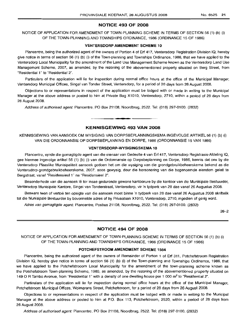## **NOTICE 493 OF 2008**

## NOTICE OF APPLICATION FOR AMENDMENT OF TOWN-PLANNING SCHEME IN TERMS OF SECTION 56 (1) (b) (i) OF THE TOWN-PLANNING AND TOWNSHIPS ORDINANCE, 1986 (ORDINANCE 15 OF 1986)

#### **VENTERSDORP AMENDMENT SCHEME 10**

Plancentre, being the authorized agent of the owners of Portion 4 of Erf 417, Ventersdorp Registration Division IQ, hereby give notice in terms of section 56 (1) (b) (i) of the Town-planning and Townships Ordinance, 1986, that we have applied to the Ventersdorp Local Municipality for the amendment of the Land Use Management Scheme known as the Ventersdorp Land Use Management Scheme, 2007, as amended, by the rezoning of the abovementioned property situated on Berg Street, from "Residential 1" to "Residential 2".

Particulars of the application will lie for inspection during normal office hours at the office of the Municipal Manager, Ventersdorp Municipal Offices, Singel van Tonder Street, Ventersdorp, for a period of 28 days from 26 August 2008.

Objections to or representations in respect of the application must be lodged with or made in writing to the Municipal Manager at the above address or posted to him at Private Bag X1010, Ventersdorp, 2710, within a period of 28 days from 26 August 2008.

Address of authorised agent: Plancentre, PO Box 21108, Noordbrug, 2522. Tel: (018) 297-0100. (2832)

## **KENNISGEWING 493 VAN 2008**

--------\_.\_----

KENNISGEWING VAN AANSOEK OM WYSIGING VAN DORPSBEPLANNINGSKEMA INGEVOLGE ARTIKEL 56 (1) (b) (i) VAN DIE ORDONNANSIE OP DORPSBEPLANNING EN DORPE, 1986 (ORDONNANSIE 15 VAN 1986)

#### **VENTERSDORP-WVSIGINGSKEMA 10**

Plancentre, synde die gemagtigde agent van die eienaar van Gedeelte 4 van Erf 417, Ventersdorp Registrasie Afdeling IQ, gee hiermee ingevolge artikel 56 (1) (b) (i) van die Ordonnansie op Dorpsbeplanning en Dorpe, 1986, kennis dat ons by die Ventersdorp Plaaslike Munisipaliteit aansoek gedoen het om die wysiging van die grondgebruikbeheerskema bekend as die Ventersdorp-grondgebruikbeheerskema, 2007, soos gewysig, deur die hersonering van die bogenoemde eiendom gelee te Bergstraat, vanaf "Residensieel 1" na "Residensieel 2".

Besonderhede van die aansoek lê ter insae gedurende gewone kantoorure by die kantoor van die Munisipale Bestuurder, Ventersdorp Munisipale Kantore, Singel van Tonderstraat, Ventersdorp, vir 'n tydperk van 28 dae vanaf 26 Augustus 2008.

Besware teen of vertoe ten opsigte van die aansoek moet binne 'n tydperk van 28 dae vanaf 26 Augustus 2008 skriftelik tot die Munisipale Bestuurder by bovermelde adres of by Privaatsak X1010, Ventersdorp, 2710, ingedien of gerig word.

Adres van gemagtigde agent: Plancentre, Posbus 21108, Noordbrug, 2522. Tel: (018) 297-0100. (2832)

26-2

## **NOTICE 494 OF 2008**

NOTICE OF APPLICATION FOR AMENDMENT OF TOWN-PLANNING SCHEME IN TERMS OF SECTION 56 (1) (b) (i) OF THE TOWN-PLANNING AND TOWNSHIPS ORIDNANCE, 1986 (ORDINANCE 15 OF 1986)

#### **POTCHEFSTROOM AMENDMENT SCHEME 1564**

Plancentre, being the authorized agent of the owners of Remainder of Portion 1 of Erf 311, Potchefstroom Registration Division IQ, hereby give notice in terms of section 56 (1) (b) (i) of the Town-planning and Townships Ordinance, 1986, that we have applied to the Potchefstrooom Local Municipality for the amendment of the town-planning scheme known as the Potchefstroom Town-planning Scheme, 1980, as amended, by the rezoning of the abovementioned property situated on 1490 R Tambo Avenue, from "Residential 1" with a density of one dwelling house per 1 000 m2 to "Residential 2".

Particulars of the application will lie for inspection during normal office hours at the office of the Municipal Manager, Potchefstroom Municipal Offices, Wolmarans Street, Potchefstroom, for a period of 28 days from 26 August 2008.

Objections to or representations in respect of the application must be lodged with or made in writing to the Municipal Manager at the above address or posted to him at P.O. Box 113, Potchefstroom, 2520, within a period of 28 days from 26 August 2008.

Address of authorised agent: Plancentre, PO Box 21108, Noordbrug, 2522. Tel: (018) 297-0100. (2832)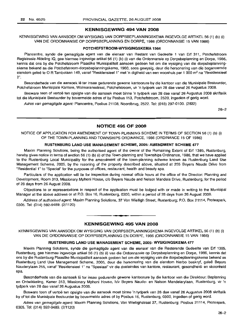## KENNISGEWING 494 VAN 2008

## KENNISGEWING VAN AANSOEK OM WYSIGING VAN DORPSBEPLANNINGSKEMA INGEVOLGE ARTIKEL 56 (1) (b) (i) VAN DIE ORDONNANSIE OP DORPSBEPLANNING EN DORPE, 1986 (ORDONNANSIE 15 VAN 1986)

#### POTCHEFSTROOM·WYSIGINGSKEMA 1564

Plancentre, synde die gemagtigde agent van die eienaar van Restant van Gedeelte 1 van Erf 311, Potchefstroom Registrasie Afdeling 10, gee hiermee ingevolge artikel 56 (1) (b) (i) van die Ordonnansie op Dorpsbeplanning en Dorpe, 1986, kennis dat ons by die Potchefstroom Plaaslike Munisipaliteit aansoek gedoen het om die wysiging van die dorpsbeplanningskema bekend as die Potchefstroom-dorpsbeplanningskema, 1980, soos gewysig, deur die hersonering van die bogenoemde eiendom geleë te O R Tambolaan 149, vanaf "Residensieel 1" met 'n digtheid van een woonhuis per 1 000 m<sup>2</sup> na "Residensieel 2".

Besonderhede van die aansoek lê ter insae gedurende gewone kantoorure by die kantoor van die Munisipale Bestuurder, Potchefstroom Munisipale Kantore, Wolmaransstraat, Potchefstroom, vir 'n tydperk van 28 dae vanaf 26 Augustus 2008.

Besware teen of vertoë ten opsigte van die aansoek moet binne 'n tydperk van 28 dae vanaf 26 Augustus 2008 skriftelik tot die Munisipale Bestuurder by bovermelde adres of by Posbus 113, Potchefstroom, 2520, ingedien of gerig word.

Adres van gemagtigde agent: Plancentre, Posbus 21108, Noordbrug, 2522. Tel: (018) 297-0100. (2832)

26-2

## NOTICE 495 OF 2008

NOTICE OF APPLICATION FOR AMENDMENT OF TOWN-PLANNING SCHEME IN TERMS OF SECTION 56 (1) (b) (i) OF THE TOWN-PLANNING AND TOWNSHIPS ORDINANCE, 1986 (ORDINANCE 15 OF 1986)

#### RUSTENBURG LAND USE MANAGEMENT SCHEME, 2005: AMENDMENT SCHEME 477

Maxim Planning Solutions, being the authorised agent of the owner of the Remaining Extent of Erf 1385, Rustenburg, hereby gives notice in terms of section 56 (1) (b) (i) of the Town-planning and Townships Ordinance, 1986, that we have applied to the Rustenburg Local Municipality for the amendment of the town-planning scheme known as Rustenburg Land Use Management Scheme, 2005, by the rezoning of the property described above, situated at 255 Beyers Naude Drive from "Residential 1" to "Special" for the purposes of offices, restaurant, health and beauty spa.

Particulars of the application will lie for inspection during normal office hours at the office of the Director: Planning and Development, Room 313, Missionary Mpheni House, c/o Beyers Naude and Nelson Mandela Drive, Rustenburg, for the period of 28 days from 26 August 2008.

Objections to or representations in respect of the application must be lodged with or made in writing to the Municipal Manager at the above address or at P.O. Box 16, Rustenburg, 0300, within a period of 28 days from 26 August 2008.

Address of authorised agent: Maxim Planning Solutions, 37 Von Wielligh Street, Rustenburg; P.O. Box 21114, Proteapark, 0305. Tel: (014) 592-9489. (2/1120)

## **•** KENNISGEWING 495 VAN 2008

KENNISGEWING VAN AANSOEK OM WYSIGING VAN DORPSBEPLANNINGSKEMA INGEVOLGE ARTIKEL 56 (1) (b) (i) VAN DIE ORDONNANSIE OP DORPSBEPLANNING EN DORPE, 1986 (ORDONNANSIE 15 VAN 1986)

### RUSTENBURG LAND USE MANAGEMENT SCHEME, 2005: WYSIGINGSKEMA 477

Maxim Planning Solutions, synde die gemagtigde agent van die eienaar van die Resterende Gedeelte van Erf 1385, Rustenburg, gee hiermee ingevolge artikel 56 (1) (b) (i) van die Ordonnansie op Dorpsbeplanning en Dorpe, 1986, kennis dat ons by die Rustenburg Plaaslike Munisipaliteit aansoek gedoen het om die wysiging van die dorpsbeplanningskema bekend as Rustenburg Land Use Management Scheme, 2005, deur die hersonering van die eiendom hierbo beskryf, gelee Beyers Nauderylaan 255, vanaf "Residensieel 1" na "Speslaal" vir die doeleindes van kantore, restaurant, gesondheid- en skoonheid spa.

Besonderhede van die aansoek lê ter insae gedurende gewone kantoorure by die kantoor van die Direkteur: Beplanning en Ontwikkeling, Kamer 313, Missionary Mpheni House, h/v Beyers Naude- en Nelson Mandelarylaan, Rustenburg, vir 'n tydperk van 28 dae vanaf 26 Augustus 2008.

Besware teen of vertoë ten opsigte van die aansoek moet binne 'n tydperk van 28 dae vanaf 26 Augustus 2008 skriftelik by of tot die Munisipale Bestuurder by bovermelde adres of by Posbus 16, Rustenburg, 0300, ingedien of gerig word.

Adres van gemagtigde agent: Maxim Planning Solutions, Von Wiellighstraat 37, Rustenburg; Posbus 21114, Proteapark, 0305. Tel: (014) 592-9489. (2/1120)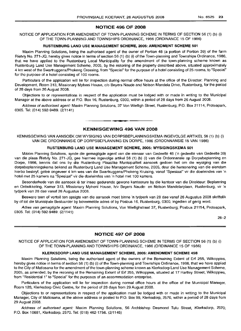## NOTICE 496 OF 2008

NOTICE OF APPLICATION FOR AMENDMENT OF TOWN-PLANNING SCHEME IN TERMS OF SECTION 56 (1) (b) (i) OF THE TOWN-PLANNING AND TOWNSHIPS ORDINANCE, 1986 (ORDINANCE 15 OF 1986)

#### RUSTENBURG LAND USE MANAGEMENT SCHEME, 2005: AMENDMENT SCHEME: 501

Maxim Planning Solutions, being the authorised agent of the owner of Portion 48 (a portion of Portion 39) of the farm Rietvly No. 271-JQ, hereby gives notice in terms of section 56 (1) (b) (i) of the Town-planning and Townships Ordinance, 1986, that we have applied to the Rustenburg Local Municipality for the amendment of the town-planning scheme known as Rustenburg Land Use Management Scheme, 2005, by the rezoning of the property described above, situated approximately 4 km west of the Swartruggens/Phokeng Crossing, from "Special" for the purpose of a hotel consisting of 25 rooms, to "Special" for the purpose of a hotel consisting of 100 rooms.

Particulars of the application will lie for inspection during normal office hours at the office of the Director: Planning and Development, Room 313, Missionary Mpheni House, c/o Beyers Naude and Nelson Mandela Drive, Hustenburq, for the period of 28 days from 26 August 2008.

Objections to or representations in respect of the application must be lodged with or made in writing to the Municipal Manager at the above address or at P.O. Box 16, Rustenburg, 0300, within a period of 28 days from 26 August 2008.

Address of authorised agent: Maxim Planning Solutions, 37 Von Wielligh Street, Rustenburg; P.O. Box 21114, Proteapark, 0305. Tel: (014) 592-9489. (2/1141)

> **•** KENNISGEWING 496 VAN 2008

KENNISGEWING VAN AANSOEK OM WYSIGING VAN DORPSBEPLANNINGSKEMA INGEVOLGE ARTIKEL 56 (1) (b) (i) VAN DIE ORDONNANSIE OP DORPSBEPLANNING EN DORPE, 1986 (ORDONNANSIE 15 VAN 1986)

#### RUSTENBURG LAND USE MANAGEMENT SCHEME, 2005: WYSIGINGSKEMA 501

Maxim Planning Solutions, synde die gemagtigde agent van die eienaar van Gedeelte 48 ('n gedeelte van Gedeelte 39) van die plaas Rietvly No. 271-JQ, gee hiermee ingevolge artikel 56 (1) (b) (i) van die Ordonnansie op Dorpsbeplanning en Dorpe, 1986, kennis dat ons by die Rustenburg Plaaslike Munisipaliteit aansoek gedoen het om die wysiging van die dorpsbeplanningskema bekend as Rustenburg Land Use Management Scheme, 2005, deur die hersonering van die eiendom hierbo beskryf, geleë ongeveer 4 km wes van die Swartruggens/Phokeng Kruising, vanaf "Spesiaal" vir die doeleindes van 'n hotel met 25 kamers na "Spesiaal" vir die doeleindes van 'n hotel met 100 kamers.

Besonderhede van die aansoek lê ter insae gedurende gewone kantoorure by die kantoor van die Direkteur: Beplanning en Ontwikkeling, Kamer 313, Missionary Mpheni House, h/v Beyers Naude- en Nelson Mandelarylaan, Rustenburg, vir 'n tydperk van 28 dae vanaf 26 Augustus 2008.

Besware teen of vertoë ten opsigte van die aansoek moet binne 'n tydperk van 28 dae vanaf 26 Augustus 2008 skriftelik by of tot die Munisipale Bestuurder by bovermelde adres of by Posbus 16, Rustenburg, 0300, ingedien of gerig word.

Adres van gemagtigde agent: Maxim Planning Solutions, Von Wiellighstraat 37, Rustenburg; Posbus 21114, Proteapark, 0305. Tel: (014) 592-9489. (2/1141)

26-2

## NOTICE 497 OF 2008

NOTICE OF APPLICATION FOR AMENDMENT OF TOWN-PLANNING SCHEME IN TERMS OF SECTION 56 (1) (b) (i) OF THE TOWN-PLANNING AND TOWNSHIPS ORDINANCE, 1986 (ORDINANCE 15 OF 1986)

#### KLERKSDORP LAND USE MANAGEMENT SCHEME, 2005: AMENDMENT SCHEME 458

Maxim Planning Solutions, being the authorised agent of the owners of the Remaining Extent of Erf 255, Wilkoppies, hereby gives notice in terms of section 56 (1) (b) (i) of the Town-planning and Townships Ordinance, 1986, that we have applied to the City of Matlosana for the amendment of the town-planning scheme known as Klerksdorp Land Use Management Scheme, 2005, as amended, by the rezoning of the Remaining Extent of Erf 255, Wilkoppies, situated at 17 Hartley Street, Wilkoppies, from "Residential 1" to "Special" for the purposes of an accommodation enterprise.

Particulars of the application will lie for inspection during normal office hours at the office of the Municipal Manager, Room 128, Klerksdorp Civic Centre, for the period of 28 days from 29 August 2008.

Objections to or representations in respect of the application must be lodged with or made in writing to the Municipal Manager, City of Matlosana, at the above address or posted to P.O. Box 99, Klerksdorp, 2570, within a period of 28 days from 29 August 2008.

Address of authorised agent: Maxim Planning Solutions, 56 Archbishop Desmond Tutu Street, Klerksdorp, 2570; P.O. Box 10681, Klerksdorp, 2570. Tel: (018) 462-1756. (2/1145)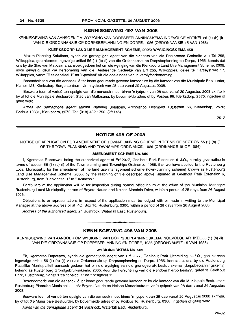#### **KENNISGEWING 497 VAN 2008**

KENNISGEWING VAN AANSOEK OM WYSIGING VAN DORPSBEPLANNINGSKEMA INGEVOLGE ARTIKEL 56 (1) (b) (i) VAN DIE ORDONNANSIE OP DORPSBEPLANNING EN DORPE, 1986 (ORDONNANSIE 15 VAN 1986)

#### **KLERKSDORP LAND USE MANAGEMENT SCHEME, 2005: WYSIGINGSKEMA 458**

Maxim Planning Solutions, synde die gemagtigde agent van die eienaars van die Resterende Gedeelte van Erf 255, Wilkoppies, gee hiermee ingevolge artikel 56 (1) (b) (i) van die Ordonnansie op Dorpsbeplanning en Dorpe, 1986, kennis dat ons by die Stad van Matlosana aansoek gedoen het om die wysiging van die Klerksdorp Land Use Management Scheme, 2005, soos gewysig, deur die hersonering van die Resterende Gedeelte van Erf 255, Wilkoppies, gelee te Hartleystraat 17, Wilkoppies, vanaf "Residensieel 1" na "Spesiaal" vir die doeleindes van 'n verblyfonderneming.

Besonderhede van die aansoek Ie ter insae gedurende gewone kantoorure by die kantoor van die Munisipale Bestuurder, Kamer 128, Klerksdorp Burgersentrum, vir 'n tydperk van 28 dae vanaf 29 Augustus 2008.

Besware teen of vertoe ten opsigte van die aansoek moet binne 'n tydperk van 28 dae vanaf 29 Augustus 2008 skriftelik by of tot die Munisipale Bestuurder, Stad van Matlosana, by bovermelde adres of by Posbus 99, Klerksdorp, 2570, ingedien of gerig word.

Adres van gemagtigde agent: Maxim Planning Solutions, Archbishop Desmond Tutustraat 56, Klerksdorp, 2570; Posbus 10681, Klerksdorp, 2570. Tel: (018) 462-1756. (2/1145)

26-2

## **NOTICE 498 OF 2008**

NOTICE OF APPLICATION FOR AMENDMENT OF TOWN-PLANNING SCHEME IN TERMS OF SECTION 56 (1) (b) (i) OF THE TOWN-PLANNING AND TOWNSHIPS ORDINANCE, 1986 (ORDINANCE 15 OF 1986)

### **AMENDMENT SCHEME No. 509**

I, Kgomotso Rapetswa, being the authorized agent of Erf 2077, Geelhout Park Extension 6-J.Q., hereby give notice in terms of section 56 (1) (b) (i) of the Town-planning and Townships Ordinance, 1986, that we have applied to the Rustenburg Local Municipality for the amendment of the land use management scheme (town-planning scheme) known as Rustenburg Land Use Management Scheme, 2005, by the rezoning of the described above, situated at Geelhout Park Extension 6, Rustenburg, from "Residential 1" to "Business 1".

Particulars of the application will lie for inspection during normal office hours at the office of the Municipal Manager: Rustenburg Local Municipality, corner of Beyers Naude and Nelson Mandela Drive, within a period of 28 days from 26 August 2008.

Objections to or representations in respect of the application must be lodged with or made in writing to the Municipal Manager at the above address or at P.O. Box 16, Rustenburg, 0300, within a period of 28 days from 26 August 2008.

Address of the authorized agent: 24 Bushrock, Waterfall East, Rustenburg.

#### **KENNISGEWING 498 VAN 2008**

I **\_ •**

KENNISGEWING VAN AANSOEK OM WYSIGING VAN DORPSBEPLANNINGSKEMA INGEVOLGE ARTIKEL 56 (1) (b) (ii) VAN DIE ORDONNANSIE OP DORPSBEPLANNING EN DORPE, 1986 (ORDONNANSIE 15 VAN 1986)

### **WYSIGINGSKEMA No. 509**

Ek, Kgomotso Rapetswa, synde die gemagtigde agent van Erf 2077, Geelhout Park Uitbreiding 6-J.Q., gee hiermee ingevolge artikel 56 (1) (b) (ii) van die Ordonnansie op Dorpsbeplanning en Dorpe, 1986, kennis dat ons by die Rustenburg Plaaslike Munisipaliteit aansoek gedoen het om die wysiging van die grondgebruik bestuurskema (dorpsbeplanningskema) bekend as Rustenburg Grondgebruiksskema, 2005, deur die hersonering van die eiendom hierbo beskryf, geleë te Geelhout Park, Rustenburg, vanaf "ResidensieeI1" na "Besigheid 1".

Besonderhede van die aansoek lê ter insae gedurende gewone kantoorure by die kantoor van die Munisipale Bestuurder: Rustenburg Plaaslike Munisipaliteit, h/v Beyers-Naude en Nelson Mandelastraat, vir 'n tydperk van 28 dae vanaf 26 Augustus 2008.

Besware teen of vertoe ten opsigte van die aansoek moet binne 'n tydperk van 28 dae vanaf 26 Augustus 2008 skriftelik by of tot die Munisipale Bestuurder, by bovermelde adres of by Posbus 16, Rustenburg, 0300, ingedien of gerig word.

Adres van die gemagtigde agent: 24 Bushrock, Waterfall East, Rustenburg.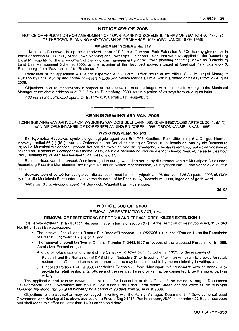## **NOTICE 499 OF 2008**

NOTICE OF APPLICATION FOR AMENDMENT OF TOWN-PLANNING SCHEME IN TERMS OF SECTION 56 (1) (b) (i) OF THE TOWN-PLANNING AND TOWNSHIPS ORDINANCE, 1986 (ORDINANCE 15 OF 1986)

#### **AMENDMENT SCHEME No. 513**

I, Kgomotso Rapetswa, being the authorized agent of Erf 1703, Geelhout Park Extension 6-J.Q., hereby give notice in terms of section 56 (1) (b) (i) of the Town-planning and Townships Ordinance, 1986, that we have applied to the Rustenburg Local Municipality for the amendment of the land use management scheme (town-planning scheme) known as Rustenburg Land Use Management Scheme, 2005, by the rezoning of the described above, situated at Geelhout Park Extension 6, Rustenburg, from "Residential 1" to "Business 1".

Particulars of the application will lie for inspection during normal office hours at the office of the Municipal Manager: Rustenburg Local Municipality, corner of Beyers Naude and Nelson Mandela Drive, within a period of 28 days from 26 August 2008.

Objections to or representations in respect of the application must be lodged with or made in writing to the Municipal Manager at the above address or at P.O. Box 16, Rustenburg, 0300, within a period of 28 days from 26 August 2008.

Address of the authorized agent: 24 Bushrock, Waterfall East, Rustenburg.

## **KENNISGEWING 499 VAN 2008**

**•**

KENNISGEWING VAN AANSOEK OM WYSIGING VAN DORPSBEPLANNINGSKEMA INGEVOLGE ARTIKEL 56 (1) (b) (ii) VAN DIE ORDONNANSIE OP DORPSBEPLANNING EN DORPE, 1986 (ORDONNANSIE 15 VAN 1986)

#### **WYSIGINGSKEMA No. 513**

Ek, Kgomotso Rapetswa, synde die gemagtigde agent van Erf 1703, Geelhout Park Uitbreiding 6-J.Q., gee hiermee ingevolge artikel 56 (1) (b) (ii) van die Ordonnansie op Dorpsbeplanning en Dorpe, 1986, kennis dat ons by die Rustenburg Plaaslike Munisipaliteit aansoek gedoen het om die wysiging van die grondgebruik bestuurskema (dorpsbeplanningskema) bekend as Rustenburg Grondgebruiksskema, 2005, deur die hersonering van die eiendom hierbo beskryf, geleë te Geelhout Park, Rustenburg, vanaf "Residensieel 1" na "Besigheid 1".

Besonderhede van die aansoek lê ter insae gedurende gewone kantoorure by die kantoor van die Munisipale Bestuurder: Rustenburg Plaaslike Munisipaliteit, h/v Beyers-Naude en Nelson Mandelastraat, vir 'n tydperk van 28 dae vanaf 26 Augustus 2008.

Besware teen of vertoe ten opsigte van die aansoek moet binne 'n tydperk van 28 dae vanaf 26 Augustus 2008 skriftelik by of tot die Munisipale Bestuurder, by bovermelde adres of by Posbus 16, Rustenburg, 0300, ingedien of gerig word.

Adres van die gemagtigde agent: 24 Bushrock, Waterfall East, Rustenburg.

26-02

#### **NOTICE 500 OF 2008**

REMOVAL OF RESTRICTIONS ACT, 1967

#### **REMOVAL OF RESTRICTIONS OF ERF 618 AND ERF** 958, **OBERHOLZER EXTENSION 1**

It is hereby notified that application has been made in terms of section 3 (1) of the Removal of Restrictions Act, 1967 (Act No. 84 of 1967) by Futurescope:

- The removal of conditions 1.B and 2.B in Deed of Transport T01325/2006 in respect of Portion 1 and the Remainder of Erf 618, Oberholzer Extension 1; and
- The removal of condition Two in Deed of Transfer T19443/1957 in respect of the proposed Portion 1 of Erf 958, Oberholzer Extension 1; and
- And the simultaneous amendment of the Carletonville Town-planning Scheme, 1993, for the rezoning of:
	- o Portion 1 and the Remainder of Erf 618 from "Industrial 3" to "Industrial 3" with an Annexure to provide for retail, restaurants, offices and uses related thereto or as may be consented to by the municipality in writing; and
	- o Proposed Portion 1 of Erf 958, Oberholzer Extension 1 from "Municipal" to "Industrial :1" with an Annexure to provide for retail, restaurants, offices and uses related thereto or as may be consented to by the municipality in writing.

The application and relative documents are open for inspection at the offices of the Acting Manager: Department Developmental Local Government and Housing, c/o Albert Luthuli and Gerrit Maritz Street, and the office of the Municipal Manager, Merafong City Local Municipality for a period of 28 days from 26 August 2008.

Objections to the application may be lodged in writing with the Acting Manager: Department of Developmental Local Government and Housing at the above address or to Private Bag X1213, Potchefstroom, 2520, on or before 23 September 2008 and shall reach this office not later than 14:00 on the said date.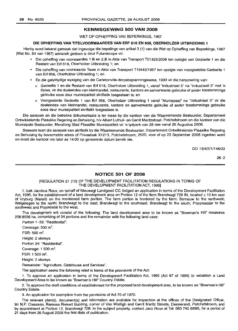### **KENNISGEWING 500 VAN 2008**

WET OP OPHEFFING VAN BEPERKINGS, 1967

#### **DIE OPHEFFING VAN TITELVOORWAARDES VAN ERF 618 EN** 958, **OBERHOLZER UITBREIDING 1**

Hierby word bekend gemaak dat ingevolge die bepalings van artikel 3 (1) van die Wet op Opheffing van Beperkings, 1967 (Wet No. 84 van 1967) aansoek gedoen is deur Futurescope vir:

- Die opheffing van voorwaardes 1.B en 2.B in Akte van Transport T01325/2006 ten opsigte van Gedeelte 1 en die Restant van Erf 618, Oberholzer Uitbreiding 1; en
- Die opheffing van voorwaarde Twee in Akte van Transport T19443/1957 ten opsigte van voorgestelde Gedeelte 1 van Erf 958, Oberholzer Uitbreiding 1; en
- En die gelyktydige wysiging van die Carletonville-dorpsbeplanningskema, 1993 vir die hersonering van:
	- o Gedeelte 1 en die Restant van Erf 618, Oberholzer Uitbreiding 1, vanaf "Industrieel 3" na "lndustrieel 3" met 'n Bylae, vir die doeleindes van kleinhandel, restaurante, kantore en aanverwante gebruike of ander toestemmings gebruike soos deur munisipaliteit skriftelik toegestaan is; en
	- o Voorgestelde Gedeelte 1 van Erf 958, Oberholzer Uitbreiding 1 vanaf "Munisipaal" na "Industrieel 3" vir die doeleindes van kleinhandel, restaurante, kantore en aanverwante gebruike of ander toestemmings gebruike soos deur munisipaliteit skriftelik toegestaan is.

Die aansoek en die betrokke dokumentasie is ter insae by die kantoor van die Waarnemende Bestuurder, Departement Ontwikkelende Plaaslike Regering en Behuising, h/v Albert Luthuli- en Gerrit Maritzstraat, Potchefstroom en die kantoor van die Munisipale Bestuurder, Merafong Stad Plaaslike Munisipaliteit vir 'n tydperk van 28 dae vanaf 26 Augustus 2008.

Besware teen die aansoek kan skriftelik by die Waarnemende Bestuurder, Departement Ontwikkelende Plaaslike Regering en Behuising by bovermelde adres of Privaatsak X1213, Potchefstroom, 2520, voor of op 23 September 2008 ingedien word en moet die kantoor nie later as 14:00 op genoemde datum bereik nie.

GO 15/4/2/1/146/33

26-2

#### **NOTICE 501 OF 2008**

#### [REGULATION 21 (10) OF THE DEVELOPMENT FACILITATION REGULATIONS IN TERMS OF THE DEVELOPMENT FACILITATION ACT, 1995]

I, Izak Jacobus Roux, on behalf of Nieuwagt Landgoed CC, lodged an application in terms of the Development Facilitation Act, 1995, for the establishment of a land development area on Portion 12 of the farm Brandwagt 728 IN, located ± 10 km east of Vryburg (Naledi) on the mentioned farm portion. The farm portion is bordered by the farm: Bernauw to the northwest; Welgelegen to the north; Brandwagt to the east; Brandwagt to the southeast; Brandwagt to the south; Poppiesdale to the southwest and Poppiesdal to the west.

The development will consist of the following: The land development area to be known as "Bowman's Hill" measures 256.9596 ha, comprising of 34 portions and the remainder with the following land uses:

Portion 1-33: "Residential".

Coverage: 500 m<sup>2</sup>. FSR: 500 m².

Height: 2 storeys.

Portion 34: "Residential".

Coverage: 1 500 m<sup>2</sup>.

FSR: 1 500 m<sup>2</sup>.

Height: 2 storeys.

Remainder: "Agriculture, Gatehouse and Services".

The application seeks the following relief in terms of the provisions of the Act:

1. To approve an application in terms of the Development Facilitation Act, 1995 (Act 67 of 1995) to establish a Land Development Area to be known as "Bowman's Hill" Country Estate.

2. To approve the draft conditions of establishment for the proposed land development area, to be known as "Bowman's Hill" Country Estate.

3. An application for exemption from the provisions of Act 70 of 1970.

The relevant plan(s), document(s) and information are available for inspection at the offices of the Designated Officer, Mr N.P. Claassen, Ramosa Riekert Building, corner of Von Wielligh and Gerrit Maritz Streets, Dassierand, Potchefstroom, and by appointment at Portion 12, Brandwagt 728. In the subject property, contact Jaco Roux at Tel: 083 7406898, for a period of 21 days from 26 August 2008 the first date of publication.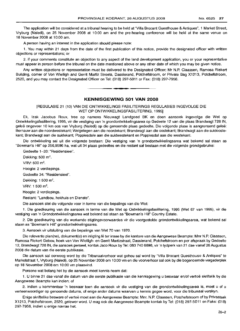The application will be considered at a tribunal hearing to be held at ''Villa Brocant Guesthouse & Antiques", 1 Market Street, Vryburg (Naledi), on 25 November 2008 at 10:00 am and the pre-hearing conference will be held at the same venue on 18 November 2008 at 10:00 am.

A person having an interest in the application should please note:

1. You may within 21 days from the date of the first publication of this notice, provide the designated officer with written objections or representations; or

2. if your comments constitute an objection to any aspect of the land development application, you or your representative must appear in person before the tribunal on the date mentioned above or any other date of which you may be given notice.

Any written objections or representation must be delivered to the Designated Officer: Mr N.P. Claassen, Ramosa Riekert Building, corner of Von Wielligh and Gerrit Martiz Streets, Dassierand, Potchefstroom, or Private Bag X1213, Potchefstroom, 2520, and you may contact the Designated Officer on Tel: (018) 297-5011 or Fax: (018) 297-7956.

## **KENNISGEWING 501 VAN 2008**

I **\_ I**

## [REGULASIE 21 (10) VAN DIE ONTWIKKELINGS FASILITERINGS REGULASIES INGEVOLGE DIE WET OP ONTWIKKELlNGSFASILITERING, 1995]

Ek, Izak Jacobus Roux, tree op namens Nieuwagt Landgoed BK en doen aansoek inqevolqe die Wet op Ontwikkelingsfasilitering, 1995, vir die vestiging van 'n grondontwikkelingsarea op Gedeete 12 van die plaas Brandwagt 728 IN, geleë ongeveer 10 km oos van Vryburg (Naledi) op die genoemde plaas gedeelte. Die volgende plase is aangrensend geleë: Bernauw aan die noordwestekant; Welgelegen aan die noordekant; Brandwagt aan die oostekant; Brandwagt aan die suidoostekant; Brandwagt aan die suidekant; Poppiesdale aan die suidwestekant en Poppiesdal aan die westekanlt.

Die ontwikkeling sal uit die volgende bestaan: Die vestiging van 'n grondontwikkelingsarea wat bekend sal staan as "Bowman's Hill" op 256,9596 ha, wat uit 34 plaas gedeeltes en die restant sal bestaan met die volgende qrondqebrulke:

Gedeelte 1-33: "Residensieel".

Dekking:  $500 \text{ m}^2$ .

VRV:  $500 \text{ m}^2$ .

Hoogte: 2 verdiepings.

Gedeelte 34: "Residensieel".

Dekking:  $1500 \text{ m}^2$ .

 $V$ RV: 1 500 m<sup>2</sup>.

Hoogte: 2 verdiepings.

Restant: "Landbou, hekhuis en Dienste".

Die aansoek stel die volgende voor in terme van die bepalings van die Wet:

1. Die goedkeuring van die aansoek in terme van die Wet op Ontwikkelingsfasilitering, 1995 (Wet 67 van 1995), vir die vestiging van 'n Grondontwikkelingsarea wat bekend sal staan as "Bowman's Hill" Country Estate.

2. Die goedkeuring van die werkende stigtingsvoorwaardes vir die voorgestelde grondontwikkelingsarea, wat bekend sal staan as "Bowman's Hill" grondontwikkelingsarea.

3. Aansoek vir uitsluiting van die bepalings van Wet 70 van 1970.

Die relevante plan(ne), dokument(e) en inligting lê ter insae by die kantore van die Aangewese Beampte: Mnr N.P. Claassen, Rarnosa Riekert Gebou, hoek van Von Wielligh- en Gerrit Martizstraat, Dassierand, Potchefstroom en per afspraak by Gedeelte 12, Brandwagt 728 IN, die aansoek perseel, kontak Jaco Roux by Tel: 083 740 6898, vir 'n tydperk van 21 dae vanaf 26 Augustus 2008 die datum van die eerste publikasie.

Die aansoek sal oorweeg word by die Tribunaalverhoor wat gehou sal word by "Villa Brocant Guesthouse & Antiques" te Marketstraat 1, Vryburg (Naledi), op 25 November 2008 om 10:00 vm en die voorverhoor sal ook by die bogenoemde vergaderplek op "18 November 2008 om 10:00 vm plaasvind.

Persone wat belang het by die aansoek moet kennis neem dat:

1. U binne 21 dae vanaf die datum van die eerste publikasie van die kennisgewing u beswaar en/of vertoe skriftelik by die Aangewese Beampte kan indien; of

2. indien u kommentaar 'n beswaar teen die aansoek vir die vestiging van die grondontwikkelingsarea is, moet u of u verteenwoordiger op genoemde datums, of enige ander datums waarvan u kennis gegee word, voor die tribunaal verskyn.

Enige skriftelike besware of vertoe moet aan die Aangewese Beampte: Mm. N.P. Claassen, Potchefstroom of by Privaatsak X1 ~!13, Potchefstroom, 2520, gelewer word. U mag ook die Aangewese Beampte kontak by Tel: (018) 29'7-5011 en Faks: (018) 297-7956, indien u enige navrae het.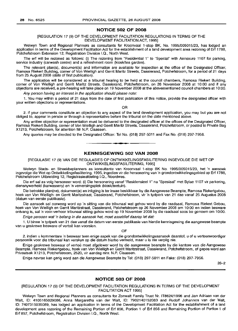## **NOTICE 502 OF 2008**

[REGULATION 17 (9) OF THE DEVELOPMENT FACILITATION REGULATIONS IN TERMS OF THE DEVELOPMENT FACILITATION ACT, 1995]

Welwyn Town and Regional Planners as consultants for Kroonvaal t-stop BK, No. 1995/005015/23, has lodged an application in terms of the Development Facilitation Act for the establishment of a land development area rezoning of Erf 1788, Potchefstroom Extension 12, Registration Division 1.0., North West.

The erf will be rezoned as follows: (i) The rezoning from "Residential 1" to "Special" with Annexure 1107 for parking, service industry (carwash centre) and a refreshment room (kiosk/tea garden).

The relevant plan(s), document(s) and information are available for inspection at the office of the Designated Officer, Ramosa Riekert Building, corner of Von Wielligh and Gerrit Maritz Streets, Dassierand, Potchefstroom, for a period of 21 days from 25 August 2008 (date of first publication).

The application will be considered at a tribunal hearing to be held at the council chambers, Ramosa Riekert Building, corner of Von Wielligh and Gerrit Maritz Streets, Dassierand, Potchefstroom, on 26 November 2008 at 10:00 and if any objections are received, a pre-hearing will take place on 19 November 2008 at the abovementioned council chambers at 10:00.

Any person having an interest in the application should please note:

1. You may within a period of 21 days from the date of first publication of this notice, provide the designated officer with your written objections or representations.

OR

2. if your comments constitute an objection to any aspect of the land development application, you may but you are not obliged to, appear in person or through a representative before the tribunal on the date mentioned above.

Any written objection or representation must be delivered to the designated officer at the offices of the Designated Officer, Ramosa Riekert Building, corner of Von Wielligh and Gerrit Maritz Streets, Dassierand, Potchefstroom, or posted to Private Bag X1213, Potchefstroom, for attention Mr N.P. Claassen.

Any queries may be directed to the Designated Officer: Tel No. (018) 297-5011 and Fax No. (018) 297-7956.

## **KENNISGEWING 502 VAN 2008**

• **• •**

[REGULASIE 17 (9) VAN DIE REGULASIES OP ONTWIKKELlNGSFASILITERING INGEVOLGE DIE WET OP ONTWIKKELlNGSFASILlTERING, 1995]

Welwyn Stads- en Streekbeplanners as konsultante van Kroonvaal t-stop BK No. 1995/005015/23, het 'n aansoek ingevolge die Wet op Ontwikkelingsfasilitering, 1995, ingedien vir die hersonering van 'n grondontwikkelingsgebied op Erf 1788, Potchefstroom Uitbreiding 12, Registrasieafdeling 1.0., Noordwes.

Die erf sal as volg hersoneer word: (i) Die hersonering vanaf "Residensieel 1" na "Spesiaal" met Bylae 1107 vir parkering, diensnywerheid (karwassery) en 'n verversingsplek (kiosk/teetuin).

Die betrokke plan(ne), dokument(e) en inligting is ter insae beskikbaar by die Aangewese Beampte, Ramosa Riekertgebou, hoek van Von Wielligh- en Gerrit Maritzstraat, Dassierand, Potchefstroom, vir 'n tydperk van 21 dae vanaf 25 Augustus 2008 (datum van eerste publikasie).

Die aansoek sal oorweeg word op 'n sitting van die tribunaal wat gehou word by die raadsaal, Ramosa Riekert Gebou, hoek van Von Wielligh en Gerrit Maritzstraat, Dassierand, Potchefstroom op 26 November 2008 om 10:00 en indien besware ontvang is, sal 'n voor-verhoor tribunaal sitting gehou word op 19 November 2008 by die raadsaal soos bo genoem om 10:00.

Enige persoon wat 'n belang in die aansoek bet, moet asseblief daarop let dat:

1. U binne 'n tydperk van 21 dae vanaf die datum van eerste publikasie van hierdie kennisgewing die aangewese beampte van u geskrewe besware of vertoë kan voorsien.

OF

2. indien u kommentare 'n beswaar teen enige aspek van die grondontwikkelingsaansoek daarstel, u of u verteenwoordiger persoonlik voor die tribunaal kan verskyn op die datum hierbo vermeld, maar u is nie verplig nie.

Enige geskrewe beswaar of vertoe moet afgelewer word by die aangewese beampte by die kantore van die Aangewese Beampte, Ramosa Riekertgebou, hoek van Von Wielligh en Gerrit Maritzstraat, Dassierand, Potchefstroom, of gepos word aan Privaatsak X1213, Potchefstroom, 2520, vir aandag mnr. N.P. Claassen.

Enige navrae kan gerig word aan die Aangewese Beampte by Tel: (018) 297-5011 en Faks: (018) 297-7956.

26-2

#### **NOTICE 503 OF 2008**

## [REGULATION 17 (9) OF THE DEVELOPMENT FACILITATION REGULATIONS IN TERMS OF THE DEVELOPMENT FACILITATION ACT 1995]

Welwyn Town and Regional Planners as consultants for Zonwalt Family Trust Nr. IT8624/1996 and Jan Adriaan van der Walt, ID: 4105165029086, Anna Margaretha van der Walt, ID: 7902140152083 and Rudolf Johannes van der Walt, ID: 7407315035089, has lodged an application in terms of the Development Facilitation Act for the establishment of a land development area rezoning of the Remaining Portion of Erf 856, Portion 1 of Erf 856 and Remaining Portion of Portion 1 of Erf 857, Potchefstroom, Registration Division 1.0., North West.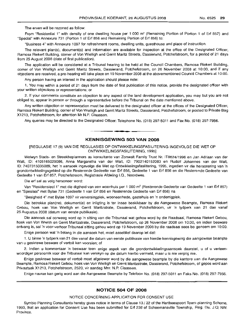The erven will be rezoned as follow:

From "Residential 1" with density of one dwelling house per 1 000 m<sup>2</sup> (Remaining Portion of Portion 1 of Erf 857) and "Special" with Annexure 731 (Portion 1 of Erf 856 and Remaining Portion of Erf 856) to:

"Business 4" with Annexure 1097 for refreshment rooms, dwelling units, guesthouse and place of instruction.

The relevant plan(s), document(s) and information are available for inspection at the office of the Designated Officer, Ramosa Riekert Building, corner of Von Wielligh and Gerrit Maritz Streets, Dassierand, Potchefstroom, for a period of 21 days from 25 August 2008 (date of first publication).

The application will be considered at a Tribunal hearing to be held at the Council Chambers, Ramosa Riekert Building, corner of Von Wielligh and Gerrit Maritz Streets, Dassierand, Potchefstroom, on 26 November 2008 at 10:00, and if any objections are received, a pre-hearing will take place on 19 November 2008 at the abovementioned Council Chambers at 10:00.

Any person having an interest in the application should please note:

1. You may within a period of 21 days from the date of first publication of this notice, provide the designated officer with your written objections or representations; or

2. If your comments constitute an objection to any aspect of the land development application, you may but you are not obliged to, appear in person or through a representative before the Tribunal on the date mentioned above.

Any written objection or representation must be delivered to the designated officer at the offices of the Designated Officer, Ramosa Riekert Building, corner of Von Wielligh and Gerrit Maritz Streets, Dassierand, Potchefstroom, or posted to Private Bag X1213, Potchefstroom, for attention Mr N.P. Claassen.

Any queries may be directed to the Designated Officer: Telephone No. (018) 297-5011 and Fax No. (018) 297-7956.

I **\_ I**

## **KENNISGEWING 503 VAN 2008**

[REGULASIE 17 (9) VAN DIE REGULASIES OP ONTWIKKELlNGSFASILITERING INGEVOLGE DIE WET OP ONTWIKKELlNGSFASILITERING, 1995]

Welwyn Stads- en Streekbeplanners as konsultante van Zonwalt Family Trust Nr. IT8624/1996 en Jan Adriaan van der Walt, ID: 4105165029086, Anna Margaretha van der Walt, ID: 7902140152083 en Rudolf Johannes van der Walt, ID: 7407315035089, het 'n aansoek ingevolge die Wet op Ontwikkelingsfasilitering, 1995, ingedien vir die hersonering van 'n grondontwikkelingsgebied op die Resterende Gedeelte van Erf 856, Gedeelte 1 van Erf 856 en die Resterende Gedeelte van Gedeelte 1 van Erf 857, Potchefstroom, Registrasie Afdeling I.Q., Noordwes.

Die erf sal as volg hersoneer word:

Van "Residensieel 1" met die digtheid van een woonhuis per 1 000 m<sup>2</sup> (Resterende Gedeelte van Gedeelte 1 van Erf 857) en "Spesiaal" met Bylae 731 (Gedeelte 1 van Erf 856 en Resterende Gedeelte van Erf 856) na

"Besigheid 4" met Bylae 1097 vir verversingplek, wooneenhede, gastehuis en 'n onderrigplek.

Die betrokke plan(ne), dokument(e) en inligting is ter insae beskikbaar by die Aangewese Bearnpte, Ramosa Riekert Gebou, hoek van Von Wielligh en Gerrit Maritzstrate, Dassierand, Potchefstroom, vir 'n tydperk van 21 dae vanaf 25 Augustus 2008 (datum van eerste publikasie).

Die aansoek sal oorweeg word op 'n sitting van die Tribunaal wat gehou word by die Raadsaal, Ramosa Riekert Gebou, hoek van Von Wiellih en Gerrit Maritzstrate, Dassierand, Potchefstroom, op 26 November 2008 om 10:00, en indien besware ontvang is, sal 'n voor-verhoor Tribunaal sitting gehou word op 19 November 2008 by die raadsaal soos bo genoem om 10:00.

Enige persoon wat 'n belang in die aansoek het, moet asseblief daarop let dat:

1. U binne 'n tydperk van 21 dae vanaf die datum van eerste publikasie van hierdie kennisgewing die aangewese beampte van u geskrewe besware of vertoë kan voorsien; of

2. Indien u kommentaar 'n beswaar teen enige aspek van die grondontwikkelingsaansoek daarstel, u of u verteenwoordiqer persoonlik voor die Tribunaal kan verskyn op die datum hierbo vermeld, maar u is nie verplig nie.

Enige geskrewe beswaar of vertoe moet afgelewer word by die aangewese beampte by die kantore van die Aangewese Beampte, Ramosa Riekert Gebou, hoek van Von Wielligh en Gerrit Maritzstrate, Dassierand, Potchefstroom, of gepos word aan Privaatsak X1213, Potchefstroom, 2520, vir aandag Mm. N.P. Claassen.

Enige navrae kan gerig word aan die Aangewese Beampte by Telefoon No. (018) 297-5011 en Faks No. (018) 297-7956.

## **NOTICE 504 OF 2008**

#### NOTICE CONCERNING APPLICATION FOR CONSENT USE

Symbio Planning Consultants hereby gives notice in terms of Clause 13 / 22 of the Hartbeespoort Town-planning Scheme, 1993, that an application for Consent Use has been submitted for Erf 238 of Schoemansville Township, Reg. Div. J.Q; NW. Province.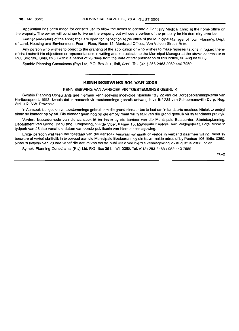Application has been made for consent use to allow the owner to operate a Dentistry Medical Clinic at the home office on the property. The owner will continue to live on the property but will use a portion of the property for his dentistry practice.

Further particulars of the application are open for inspection at the office of the Municipal Manager of Town Planning, Dept. of Land, Housing and Environment, Fourth Floor, Room 15, Municipal Offices, Von Velden Street, Brits.

Any person who wishes to object to the granting of the application or who wishes to make representations in regard thereof shall submit his objections or representations in writing and in duplicate to the Municipal Manager at the above address or at P.O. Box 106, Brits, 0250 within a period of 28 days from the date of first publication of this notice, 26 August 2008.

Symbio Planning Consultants (Pty) Ltd, P.O. Box 291, Ifafi, 0260. Tel. (021) 253-2463 / 082 440 7959.

## **KENNISGEWING 504 VAN 2008**

**• •**

KENNISGEWING VAN AANSOEK VIR TOESTEMMINGS GEBRUIK

Symbio Planning Consultants gee hiermee kennisgewing ingevolge Klousule 13 / 22 van die Dorpsbeplanningskema van Hartbeespoort, 1993, kennis dat 'n aansoek vir toestemmings gebruik ontvang is vir Erf 238 van Schoemansville Dorp, Reg. Afd. J.Q. NW. Provinsie.

'n Aansoek is ingedien vir toestemmings gebruik om die grond eienaar toe te laat om 'n tandaarts mediese kliniek te bedryf binne sy kantoor op sy erf. Die eienaar gaan nog op die erf bly maar wil 'n stuk van die grond gebruik vir sy tandaarts praktyk.

Verdere besonderhede van die aansoek lê ter insae by die kantoor van die Munisipale Bestuurder: Stadsbeplanning, Department van Grond, Behuising, Omgewing, Vierde Vloer, Kamer 15, Munispale Kantore, Van Veldenstraat, Brits, binne 'n tydperk van 28 dae vanaf die datum van eerste publikasie van hierdie kennisgewing.

Enige persoon wat teen die toestaan van die aansoek beswaar wil maak of vertoë in verband daarmee wil rig, moet sy besware of vertoë skriftelik in tweevoud aan die Munisipale Bestuurder, by die bovermelde adres of by Posbus 106, Brits, 0250, binne 'n tydperk van 28 dae vanaf die datum van eerste publikasie van hierdie kennisgewing 26 Augustus 2008 indien.

Symbio Planning Consultants (Pty) Ltd, P.O. Box 291, Ifafi, 0260. Tel. (012) 253-2463 / 082 440 7959.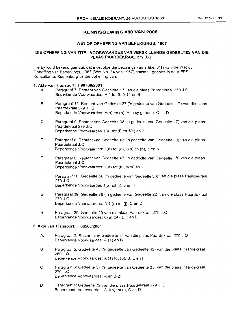## **KENNISGEWING 480 VAN 2008**

#### WET OP OPHEFFING VAN BEPERKINGS, 1967

## DIE OPHEFFING VAN TITEL VOORWAARDES VAN VERSKILLENDE GEDEELTES VAN DIE PLAAS PAARDEKRAAL 279 J.Q.

Hierby word bekend gemaak dat ingevolge die be palings van artikel 3(1) van die Wet op Opheffing van Beperkings, 1967 (Wet No. 84 van 1967) aansoek gedoen is deur EPS Konsultante, Rustenburg vir die opheffing van:

#### 1. Akte van Transport: T *99769/2001*

- A. Paragraaf 7: Restant van Gedeelte 17 van die plaas Paardekraal 279 J.Q, Beperkende Voorwaardes: A 1 tot 9, A 11 en B.
- B. Paragraaf 11: Restant van Gedeelte 37 ('n gedeelte van Gedeelte 17) van die plaas Paardekraal 279 J. Q Beperkende Voorwaardes: A(a) en (b) (A in sy geheel), C en D
- C Paragraaf 9: Restant van Gedeelte 38 ('n gedeelte van Gedeelte 17) van die plaas Paardekraal 279 J.Q Beperkende Voorwaardes 1(a) tot (i) en 1(k) en 2
- D Paragraaf 6: Restant van Gedeelte 43 ('n gedeelte van Gedeelte 30) van die plaas Paardekraal J.Q Beperkende Voorwaardes: 1(a) tot (c), 2(a) en (b), 5 en 6
- E Paragraaf 8: Restant van Gedeelte 47 ('n gedeelte van Gedeelte 18) van die plaas Paardekraal J.Q Beperkende Voorwaardes: 1(a) tot (k), 1(m) en 2
- F Paragraaf 10: Gedeelte 56 ('n gedeelte van Gedeelte 38) van die plaas Paardekraal 279 J.Q Beperkende Voorwaardes 1(a) tot (i), 3 en 4
- G Paragraaf 39: Gedeelte 76 ('n gedeelte van Gedeelte 22) van die plaas Paardekraal 279 J.Q Beperkende Voorwaardes: A 1 (a) tot (i), C en D
- H Paragraaf 20: Gedeelte 20 van die plaas Paardekraal 279 J.Q Beperkende Voorwaardes: C(a) tot (i), D en E

### 2. Akte van Transport: T *66566/2004*

- A. Paragraaf 2: Restant van Gedeelte 31 van die plaas Paardekraal 279 J.Q Beperkende Voorwaardes: A (1) en B
- B Paragraaf 5: Gedeelte 48 ('n gedeelte van Gedeelte 43) van die plaas Paardekraal 269 J.Q Beperkende Voorwaardes: A (1) tot (3), B, E en F
- C Paragraaf 3: Gedeelte 57 ('n gedeelte van Gedeelte 31) van die plaas Paardekraal 279 J.Q Beperkende Voorwaardes: A en B(2)
- o Paragraaf 4: Gedeelte 72 van die plaas Paardekraal 279 J.Q Beperkende Voorwaardes: A 1(a) tot (i), C en D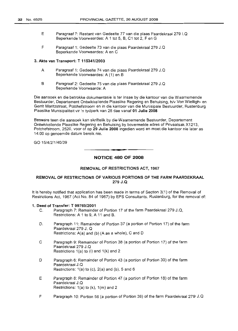- E Paragraaf 7: Restant van Gedeelte 77 van die plaas Paardekraal 279 I.Q Beperkende Voorwaardes: A 1 tot 5, B, C1 tot 2, Fen G
- F Paragraaf 1: Gedeelte 73 van die plaas Paardekraal 279 J.Q Beperkende Voorwaardes: A en C

#### 3. Akte van Transport: T 115341/2003

- A Paragraaf 1: Gedeelte 74 van die plaas Paardekraal 279 J.Q Beperkende Voorwaardes: A (1) en B
- B Paragraaf 2: Gedeelte 75 van die plaas Paardekraal 279 J.Q Beperkende Voorwaarde: A

Die aansoek en die betrokke dokumentasie is ter insae by die kantoor van die Waarnemende Bestuurder, Departement Ontwikkellende Plaaslike Regering en Behuising, h/v Von Wielligh- en Gerrit Maritzstraat, Potchefstroom en in die kantoor van die Munisipale Bestuurder, Rustenburg Plaaslike Munisipaliteit vir 'n tydperk van 28 dae vanaf 01 Julie 2008

Besware teen die aansoek kan skriftelik by die'Waamemende Bestuurder, Departement Ontwikkellende Plaaslike Regering en Behuising by bovermelde adres of Privaatsak X1213, Potchefstroom, 2520, voor of op 29 Julie 2008 ingedien word en moet die kantoor nie later as 14:00 op genoemde datum bereik nie.

GO *15/4/2/1/40/39*

**NOTICE 480 OF 2008**

**- .**

## REMOVAL OF RESTRICTIONS ACT, 1967

## REMOVAL OF RESTRICTIONS OF VARIOUS PORTIONS OF THE FARM PAARDEKRAAL 279 J.Q

It is hereby notified that application has been made in terms of Section  $3(1)$  of the Removal of Restrictions Act, 1967 (Act No. 84 of 1967) by EPS Consultants, Rustenburg, for the removal of:

## 1. Deed of Transfer: T 99769/2001

- C. Paragraph 7: Remainder of Portion 17 of the farm Paardekraal 279 J.Q, Restrictions: A 1 to 9, A 11 and B.
- D. Paragraph 11: Remainder of Portion 37 (a portion of Portion 17) of the farm Paardekraal 279 J. Q Restrictions:  $A(a)$  and (b) (A as a whole), C and D
- C Paragraph 9: Remainder of Portion 38 (a portion of Portion 17) of the farm Paardekraal 279 J.Q Restrictions 1(a) to (i) and 1(k) and 2
- D Paragraph 6: Remainder of Portion 43 (a portion of Portion 30) of the farm Paardekraal J.Q Restrictions:  $1(a)$  to  $(c)$ ,  $2(a)$  and  $(b)$ ,  $5$  and  $6$
- E Paragraph 8: Remainder of Portion 47 (a portion of Portion 18) of the farm Paardekraal J.Q Restrictions: 1(a) to (k), 1(m) and 2
- F Paragraph 10: Portion 56 (a portion of Portion 38) of the farm Paardekraal 279 J.Q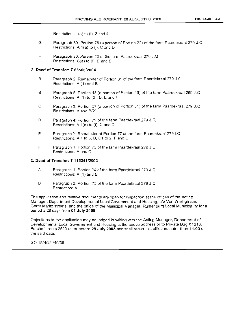Restrictions: 1(a) to (i), 3 and 4

- G Paragraph 39: Portion 76 (a portion of Portion 22) of the farm Paardekraal 279 J.Q Restrictions: A  $1(a)$  to  $(i)$ , C and D
- H Paragraph 20: Portion 20 of the farm Paardekraal 279 J.Q Restrictions: C(a) to (i), D and E

## **2. Deed of Transfer: T 66566/2004**

- B. Paragraph 2: Remainder of Portion 31 of the farm Paardekraal 279 J.Q Restrictions: A (1) and B
- B Paragraph 5: Portion 48 (a portion of Portion 43) of the farm Paardekraal 269 J.Q Restrictions: A (1) to (3), B, E and F
- C Paragraph 3: Portion 57 (a portion of Portion 31) of the farm Paardekraal 279 J.Q Restrictions: A and B(2)
- D Paragraph 4: Portion 72 of the farm Paardekraal 279 J.Q Restrictions: A 1(a) to (i), C and D
- E Paragraph 7: Remainder of Portion 77 of the farm Paardekraal 279 I.Q Restrictions: A 1 to 5, B, C1 to 2, F and G
- F Paragraph 1: Portion 73 of the farm Paardekraal 279 J.Q Restrictions: A and C

## 3. **Deed of Transfer: T 115341/2003**

- A Paragraph 1: Portion 74 of the farm Paardekraal 279 J.Q Restrictions: A (1) and B
- B Paragraph 2: Portion 75 of the farm Paardekraal 279 J.Q Restriction: A

The application and relative documents are open for inspection at the offices of the Acting Manager, Department Developmental Local Government and Housing, c/o Von Wielligh and Gerrit Maritz streets, and the office of the Municipal Manager, Rustenburg Local Municipality for a period a 28 days from **01 July 2008**

Objections to the application may be lodged in writing with the Acting Manager, Department of Developmental Local Government and Housing at the above address or to Private Bag X1213, Potchefstroom 2520 on or before **29 July 2008** and shall reach this office not later than 14:00 on the said date.

GO 15/4/2/1/40/39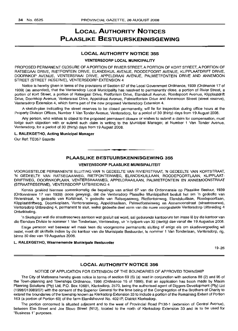## **LOCAL AUTHORITY NOTICES PLAASLIKE BESTUURSKENNISGEWING**

## **LOCAL AUTHORITY NOTICE 355**

#### **VENTERSDORP LOCAL MUNICIPALITY**

PROPOSED PERMANENT CLOSURE OF A PORTION OF RIVIER STREET, A PORTION OF KORT STREET, A PORTION OF RATSEGAAI DRIVE, RIETFONTEIN DRIVE, ELANDSKUIL AVENUE, ROODEPOORT AVENUE, KLiPPLAATDRIFT DRIVE, DOORNKOP AVENUE, VENTERSRAAI DRIVE, APPELDRAAI AVENUE, PALMIETFONTEIN DRIVE AND ANNEMOON STREET (STREET RESERVE), VENTERSDORP EXTENSION 4

Notice is hereby given in terms of the provisions of Section 67 of the Local Government Ordinance, 1939 (Ordinance 17 of 1939) (as amended), that the Ventersdorp Local Municipality has resolved to permanently close, a portion of Rivier Street, a portion of Kort Street, a portion of Ratsegaai Drive, Rietfontein Drive, Elandskuil Avenue, Roodepoort Avenue, Klipplaatdrift Drive, Doornkop Avenue, Ventersraai Drive, Appeldraai Avenue, Palmietfontein Drive and Annemoon Street (street reserve), Ventersdorp Extension 4, which forms part of the new proposed Ventersdorp Extension 4.

A sketch-plan indicating the street reserves to be closed permanently, will lie for inspection during office hours at the Property Division Offices, Number 1 Van Tonder Avenue, Ventersdorp, for a period of 30 (thirty) days from 19 August 2008.

Any person, who wishes to object to the proposed permanent closure or wishes to submit a claim for compensation, must lodge such objection with or submit such claim in writing to the Municipal Manager, at Number 1 Van Tonder Avenue, Ventersdorp, for a period of 30 (thirty) days from 19 August 2008.

#### **L. RALEKGETHO, Acting Municipal Manager**

Our Ref: TE057 Gazette

## **PLAASLIKE BESTUURSKENNISGEWING 355**

**••**

## **VENTERSDORP PLAASLIKE MUNISIPALITEIT**

VOORGESTELDE PERMANENTE SLUITING VAN 'N GEDEELTE VAN RIVIERSTRAAT, 'N GEDEELTE VAN KORTSTRAAT, 'N GEDEELTE VAN RATSEGAAIWEG, RIETFONTEINWEG, ELANDSKUILLAAN, ROODEPOORTLAAN, KLiPPLAAT-DRIFTWEG, DOORNKOPLAAN, VENTERSRAAIWEG, APPELDRAAILAAN, PALMIETFONTEIN EN ANNEMOONSTRAAT (STRAATRESERWE), VENTERSDORP UITBREIDING 4

Kennis geskied hiermee ooreenkomstig die bepalings van artikel 67 van die Ordonnansie op Plaaslike Bestuur, 1939 (Ordonnansie 17 van 1939) (soos gewysig), dat die Ventersdorp Plaaslike Munisipaliteit besluit het om 'n gedeelte van Rivierstraat, 'n gedeelte van Kortstraat, 'n gedeelte van Ratsegaaiweg, Rietfonteinweg, Elandskuillaan, Roodepoortlaan, Klipplaatdriftweg, Doornkoplaan, Ventersraaiweg, Appeldraailaan, Palmietfonteinweg en Annemoonstraat (straatreserwe), Ventersdorp Uitbreiding 4, permanent te sluit, welke gedeelte deer vorm van die nuwe voorgestelde Ventersdorp Uitbreiding 4 Ontwikkeling.

'n Sketsplan wat die straatreserwes aantoon wat gesluit sal word, sal gedurende kantoorure ten insae Ie by die kantoor van die Eiendom Divisie te nommer 1Van Tonderlaan, Ventersdorp, vir 'n tydperk van 30 (dertig) dae vanaf die 19 Augustus 2008.

Enige persoon wat beswaar wil maak teen die voorgenome permanente sluiting of enige eis om skadevergoeding wil instel, moet dit skriftelik indien by die kantoor van die Munisipale Bestuurder, te nommer 1 Van Tonderlaan, Ventersdorp, rig, binne 30 dae van 19 Augustus 2008.

#### **L. RALEKGETHO, Waarnemende Munisipale Bestuurder**

19-26

#### **LOCAL AUTHORITY NOTICE 356**

## NOTICE OF APPLICATION FOR EXTENSION OF THE BOUNDARIES OF APPROVED TOWNSHIP

The City of Matlosana hereby gives notice in terms of section 69 (6) (a) read in conjunction with sections 88 (2) and 95 of the Town-planning and Townships Ordinance, 1986 (Ordinance 15 of 1986), that an application has been made by Maxim Planning Solutions (Pty) Ltd, P.O. Box 10681, Klerksdorp, 2570, being the authorised agent of Diggers Development (Pty) Ltd (1998/013989/07) with the consent of the Superior General for the time being of the Congregation of the Brothers of Charity to extend the boundaries of the township known as Klerksdorp Extension 33 to include a portion of the Remaining Extent of Portion 163 (a portion of Portion 63) of the farm Elandsheuvel No. 402-IP, District Klerksdorp.

The portion concerned is situated adjacent and to the west of Provincial Road P138-1 (extension of Central Avenue), between Elm Street and Joe Siovo Street (N12), located to the north of Klerksdorp Extension 33 and is to be used for "Business 1" purposes.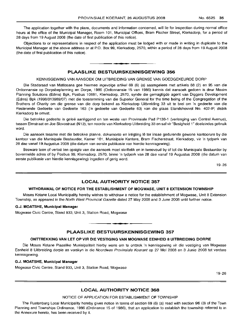The application together with the plans, documents and information concerned, will lie for inspection during normal office hours at the office of the Municipal Manager, Room 101, Municipal Offices, Bram Fischer Street, Klerksdorp, for a period of 28 days from 19 August 2008 (the date of first publication of this notice).

Objections to or representations in respect of the application must be lodged with or made in writing in duplicate to the Municipal Manager at the above address or at P.O. Box 99, Klerksdorp, 2570, within a period of 28 days from 19 August 2008 (the date of first publication of this notice).

#### PLAASLIKE BESTUURSKENNISGEWING 356

**.-**

#### KENNISGEWING VAN AANSOEK OM UITBREIDING VAN GRENSE VAN GOEDGEKEURDE DORP

Die Stadsraad van Matlosana gee hiermee ingevolge artikel 69 (6) (a) saamgelees met artikels 88 (2) en 95 van die Ordonnansie op Dorpsbeplanning en Dorpe, 1986 (Ordonnansie 15 van 1986) kennis dat aansoek gedoen is deur Maxim Planning Solutions (Edms) Bpk, Posbus 10681, Klerksdorp, 2570, synde die gemagtigde agent van Diggers Development (Edms) Bpk (1998/013989/07) met die toestemming van die Superior General for the time being of the Congregation of the Brothers of Charity om die grense van die dorp bekend as Klerksdorp Uitbreiding 33 uit te brei om 'n gedeelte van die Resterende Gedeelte van Gedeelte 163 ('n gedeelte van Gedeelte 63) van die plaas Elandsheuvel No. 402-IP, distrik Klerksdorp te omvat.

Die betrokke gedeelte is qelee aanliggend en ten weste van Provinsiale Pad P138-1 (verlenging van Central Avenue), tussen Elmstraat en Joe Siovostraat (N12), ten noorde van Klerksdorp Llitbreiding 33 en sal vir "Besigheid 1" doeleindes gebruik word.

Die aansoek tesame met die betrokke planne, dokumente en inligting lê ter insae gedurende gewone kantoorure by die kantoor van die Munisipale Bestuurder, Kamer 101, Munisipale Kantore, Bram Fischerstraat, Klerksdorp, vir 'n tydperk van 28 dae vanaf 19 Augustus 2008 (die datum van eerste publikasie van hierdie kennisgewing).

Besware teen of vertoë ten opsigte van die aansoek moet skriftelik en in tweevoud by of tot die Munisipale Bestuurder by bovermelde adres of by Posbus 99, Klerksdorp, 2570, binne 'n tydperk van 28 dae vanaf 19 Augustus 2008 (die datum van eerste publikasie van hierdie kennisgewing) ingedien of gerig word.

19-26

## LOCAL AUTHORITY NOTICE 357

#### WITHDRAWAL OF NOTICE FOR THE ESTABLISHMENT OF MOGWASE, UNIT 8 EXTENSION TOWNSHIP

Moses Kotane Local Municipality hereby wishes to withdraw a notice for the establishment of Mogwase, Unit 8 Extension Township, as appeared in the North West Provincial Gazette dated 27 May 2008 and 3 June 2008 until further notice.

## G.J. MOATSHE, Municipal Manager

Mogwase Civic Centre, Stand 933, Unit 3, Station Road, Mogwase

## PLAASLIKE BESTUURSKENNISGEWING 357

**-**

#### ONTrREKKING VAN LET OP VIR DIE VESTIGING VAN MOGWASE EENHEID 8 UITBREIDING DORPIE

Die Moses Kotane Plaaslike Munisipaliteit hierby wens om te onttrek 'n kennisgewing vir die vestiging van Mogwase Eenheid 8 Uitbreiding dorpie as verskyn in die Noordwes Provinsiale Koerant op 27 Mei 2008 en 3 Junie 2008 tot verdere kennisgewing.

#### G.J. MOATSHE, Municipal Manager

Mogwase Civic Centre, Stand 933, Unit 3, Station Road, Mogwase

19-26

#### LOCAL AUTHORITY NOTICE 368

## NOTICE OF APPLICATION FOR ESTABLISHMENT OF TOWNSHIP

The Rustenburg Local Municipality hereby gives notice in terms of section 69 (6) (a) read with section 96 (3) of the Town Planning and Townships Ordinance, 1986 (Ordinance 15 of 1986), that an application to establish the township referred to in the Annexure hereto, has been received by it.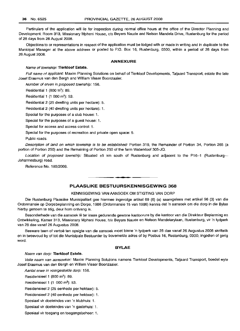Particulars of the application will lie for inspection during normal office hours at the office of the Director Planning and Development, Room 313, Missionary Mpheni House, c/o Beyers Naude and Nelson Mandela Drive, Rustenburg for the period of 28 days from 26 August 2008.

Objections to or representations in respect of the application must be lodged with or made in writing and in duplicate to the Municipal Manager at the above address or posted to P.O. Box 16, Rustenburg, 0300, within a period of 28 days from 26 August 2008.

#### **ANNEXURE**

#### Name of township: **Tierkloof Estate.**

Full name of applicant: Maxim Planning Solutions on behalf of Tierkloof Developments, Taljaard Transport, estate the late Josef Erasmus van den Bergh and William Visser Boonzaaier.

Number of erven in proposed township: 156.

Residential 1 (800 m<sup>2</sup>): 89.

Residential 1  $(1 000 \text{ m}^2)$ : 53.

Residential 2 (25 dwelling units per hectare): 5.

Residential 2 (40 dwelling units per hectare): 1.

Special for the purposes of a club house: 1.

Special for the purposes of a guest house: 1.

Special for access and access control: 1.

Special for the purposes of recreation and private open space: 5.

Public roads.

Description of land on which township is to be established: Portion 319, the Remainder of Portion 34, Portion 265 (a portion of Portion 250) and the Remaining of Portion 250 of the farm Waterkloof 305-JQ.

Location of proposed township: Situated  $\pm 5$  km south of Rustenburg and adjacent to the P16-1 (Rustenburg-Johannesburg) road.

Reference No. 180/2008.

## **PLAASLIKE BESTULIRSKENNISGEWING 368**

**-**

#### KENNISGEWING VAN AANSOEK OM STIGTING VAN DORP

Die Rustenburg Plaaslike Munisipaliteit gee hiermee ingevolge artikel 69 (6) (a) saamgelees met artikel 96 (3) van die Ordonnansie op Dorpsbeplanning en Dorpe, 1986 (Ordonnansie 15 van 1986) kennis dat 'n aansoek om die dorp in die Bylae hierby genoem te stig, deur hom ontvang is.

Besonderhede van die aansoek lê ter insae gedurende gewone kantoorure by die kantoor van die Direkteur Beplanning en Ontwikkeling, Kamer 313, Missionary Mpheni House, h/v Beyers Naude en Nelson Mandelarylaan, Rustenburg, vir 'n tydperk van 28 dae vanaf 26 Augustus 2008.

Besware teen of vertoe ten opsigte van die aansoek moet binne 'n tydperk van 28 dae vanaf 26 Augustus 2008 skriftelik en in tweevoud by of tot die Munisipale Bestuurder by bovemelde adres of by Posbus 16, Rustenburg, 0300, ingedien of gerig word.

#### **BYLAE**

#### Naam van dorp: **Tierkloof Estate.**

Volle naam van aansoeker: Maxim Planning Solutions namens Tierkloof Developments, Taljaard Transport, boedel wyle Josef Erasmus van den Bergh en Willem Visser Boonzaaier. .

Aantal erwe in voorgestelde dorp: 156.

Residensieel 1 (800 m²): 89.

Residensieel 1 (1 000 m<sup>2</sup> ) : 53.

Residensieel 2 (25 eenhede per hektaar): 5.

Residensieel 2 (40 eenhede per hektaar): 1.

Spesiaal vir doeleindes van 'n klubhuis: 1.

Spesiaal vir doeleindes van 'n gastehuis: 1.

Spesiaal vir toegang en toegangsbeheer: 1.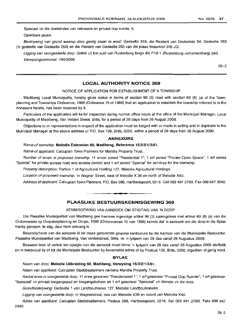Spesiaal vir die doeleindes van rekreasie en privaat oop ruimte: 5.

Openbare paaie.

Beskrywing van grond waarop dorp gestig staan te word: Gedeelte 319, die Restant van Gedeelete 34, Gedeelte 265 ('n gedeelte van Gedeelte 250) en die Restant van Gedeelte 250 van die plaas Waterklof 305 JQ.

Ligging van voorgestelde dorp: Geleë ±5 km suid van Rustenburg langs die P16-1 (Rustenburg-Johannesburg) pad. Verwysingsnommer: 180/2008.

26-2

## **LOCAL AUTHORITY NOTICE 369**

## NOTICE OF APPLICATION FOR ESTABLISHMENT OF A TOWNSHIP

Madibeng Local Municipality, hereby gives notice in terms of section 96 (3) read with section 69 (6) (a) of the Townplanning and Townships Ordinance, 1986 (Ordinance 15 of 1986) that an application to establish the township referred to in the Annexure hereto, has been received by it.

Particulars of the application will lie for inspection during normal office hours at the office of the Municipal Manager, Local Municipality of Madibeng, Van Velden Street, Brits, for a period of 28 days from 26 August 2008.

Objections to or representations in respect of the application must be lodged with or made in writing and in duplicate to the Municipal Manager at the above address or P.O. Box 106, Brits, 0250, within a period of 28 days from 26 August 2008.

### **ANNEXURE**

Name of township: **Melodie Extension** 60, **Madibeng, Reference** 15/3/2/1/3/61.

Name of applicant: Calcuplan Town Planners for Mandla Property Trust.

Number of erven in proposed township: 11 erven zoned "Residential 1", 1 ert zoned "Private Open Space", 1 ert zoned "Special" for private access road and access control and 1 ert zoned "Special" for services for the township.

Property description: Portion 1 of Aqrlcultural Holding 127, Melodie Agricultural Holdings.

Location of proposed township: In Wagner Street, east of Melodie X 36 en north of Melodie X40.

Address of applicant: Calcuplan Town Planners, P.O. Box 598, Hartbeespoort, 0216. Cell 083 491 2793. Fax 086 647 2640.

## **PLAASLIKE BESTUURSKENNISGEWING 369**

**•**

## KENNISGEWING VAN AANSOEK OM STIGTING VAN 'N DORP

Die Plaaslike Munisipaliteit van Madibeng gee hiermee ingevolge artikel 96 (3) saamgelees met artikel 69 (6) (a) van die Ordonnansie op Dorpsbeplanning en Dorpe, 1986 (Ordonnansie 15 van 1986) kennis dat 'n aansoek om die dorp in die Bylae hierby genoem, te stig, deur hom ontvang is.

Besonderhede van die aansoek lê ter insae gedurende gewone kantoorure by die kantoor van die Munisipale Bestuurder, Plaaslike Munisipaliteit van Madibeng, Van Veldenstraat, Brits, vir 'n tydperk van 28 dae vanaf 26 Augustus 2008.

Besware teen of vertoe ten opsigte van die aansoek moet binne 'n tydperk van 28 dae vanaf 26 Augustus 2008 skriftelik en in tweevoud by of tot die Munisipale Bestuurder by bovemelde adres of by Posbus 106, Brits, 0250, ingedien of gerig word.

#### **BYLAE**

Naam van dorp: **Melodie Uitbreiding** 60, **Madibeng, Verwysing** 15/3/2/1/3/61.

Naam van applikant: Calcuplan Stadsbeplanners namens Mandla Property Trust.

Aantal erwe in voorgestelde dorp: 11 erwe gesoneer "Residensieel 1"; 1 ert gesoneer "Privaat Oop Ruimte"; 1 erf gesoneer "Spesiaal" vir privaat toegangspad en toegangsbeheer en 1 ert gesoneer "Spesiaal" vir dienste vir die dorp,

Grondbeskrywing: Gedeelte 1 van Landbouhoewe 127, Melodie Landbouhoewes.

Ligging van voorgestelde dorp: In Wagnerstraat, 005 van Melodie X36 en noord van Melodie X40.

Adres van applikant: Calcuplan Stadsbeplanners, Posbus 598, Hartbeespoort, 0216. Sel 083 491 2793. Faks 086 647 2640.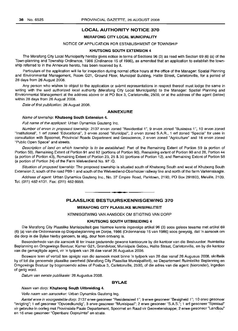## LOCAL AUTHORITY NOTICE 370

## MERAFONG CITY LOCAL MUNICIPALITY

## NOTICE OF APPLICATION FOR ESTABLISHMENT OF TOWNSHIP

#### KHUTSONG SOUTH EXTENSION 4

The Merafong City Local Municipality hereby gives notice in terms of Sections 96 (3) as read with Section 69 (6) (a) of the Town-planning and Township Ordinance, 1986 (Ordinance 15 of 1986), as amended that an application to establish the township referred to in the Annexure hereto, has been received by it.

Particulars of the application will lie for inspection during normal office hours at the office of the Manager: Spatial Planning and Environmental Management, Room G21, Ground Floor, Municipal Building, Halite Street, Carletonville, for a period of 28 days from 26 August 2008.

Any person who wishes to object to the application or submit representations in respect thereof must lodge the same in writing with the said authorized local authority (Merafong City Local Municipality) to the Manager: Spatial Planning and Environmental Management at the address above or at PO Box 3, Carletonville, 2500, or at the address of the agent (below) within 28 days from 26 August 2008.

Date of first publication: 26 August 2008.

#### ANNEXURE

## Name of township: Khutsong South Extension 4.

Full name of the applicant: Urban Dynamics Gauteng Inc.

Number of erven in proposed township: 2137 erven zoned "Residential 1", 9 erven zoned "Business 1", 10 erven zoned "Institutional", 1 ert zoned "Educational", 3 erven zoned "Municipal", 2 erven zoned S.A.R., 1 ert zoned "Special" for uses in consultation with Spoornet, Provincial Roads Department and Geoscience, 2 erven zoned "Agriculture" and 16 erven zoned "Public Open Space" and streets.

Description of land on which township is to be established: Part of the Remaining Extent of Portion 59 (a portion of Portion 50), Remaining Extent of Portion 91 and 92 (portions of Portion 90), Remaining extent of Portion 90 and 28, Portion 44 (a portion of Portion 43), Remaining Extent of Portion 23, 25 & 30 (portions of Portion 12), and Remaining Extent of Portion 58 (a portion of Portion 24) of the Farm Welverdiend No. 97 IQ.

Situation of proposed township: The proposed township is situated south of Khutsong South and west of Khutsong South Extension 2, south of the road P89-1 and south of the Welverdiend-Oberholzer railway line and north of the farm Varkenslaagte.

Address of agent: Urban Dynamics Gauteng Inc., No. 37 Empire Road, Parktown, 2193; PO Box 291803, Melville, 2109. Tel. (011) 482-4131. Fax: (011) 482-9959.

#### PLAASLIKE BESTUURSKENNISGEWING 370

**-**

#### MERAFONG CITY PLAASLIKE MUNISIPALITEIT

KENNISGEWING VAN AANSOEK OM STIGTING VAN DORP

## KHUTSONG SOUTH UITBREIDING 4

Die Merafong City Plaaslike Munisipaliteit gee hiermee kennis ingevolge artikel 96 (3) soos gelees tesame met artikel 69 (6) (a) van die Ordonnansie op Dorpsbeplanning en Dorpe, 1986 (Ordonnansie 15 van 1986) soos gewysig, dat 'n aansoek om die dorp in die Bylae hierby genoem, te stig, deur hom ontvang is.

Besonderhede van die aansoek lê ter insae gedurende gewone kantoorure by die kantoor van die Bestuurder: Ruimtelike Beplanning en Omgewings Bestuur, Kamer G21, Grondvloer, Munisipale Gebou, Halite Straat, Carletonville, en by die kantoor van die gemagtigde agent, vir 'n tydperk van 28 dae vanaf 26 Augustus 2008.

Besware teen of vertoë ten opsigte van die aansoek moet binne 'n tydperk van 28 dae vanaf 26 Augusus 2008, skriftelik by of tot die genoemde plaaslike owerheid (Merafong City Plaaslike Munisipaliteit), se Departement Ruimtelike Beplanning en Omgewings Bestuur by bogenoemde adres of Posbus 3, Carletonville, 2500, of die adres van die agent (hieronder), ingedien of gerig word.

Datum van eerste publikasie: 26 Augustus 2008.

#### BYLAE

### Naam van dorp: Khutsong South Uitbreiding 4.

Volle naam van aansoeker: Urban Dynamics Gauteng Ing.

Aantal erwe in voorgestelde dorp: 2137 erwe gesoneer "Residensieel 1"; 9 erwe gesoneer "Besigheid 1"; 10 erwe gesoneer "Inrigting"; 1 ert gesoneer "Opvoedkundig", 3 erwe gesoneer "Munisipaal"; 2 erwe gesoneer "S.A.S."; 1 ert gesoneer "Spesiaal" vir gebruike in oorleg met Provinsiale Paaie Departement, Spoornet en Raad vir Geowetenskappe; 2 erwe gesoneer "Landbou" en 16 erwe gesoneer "Openbare Oopruimte" en strate.